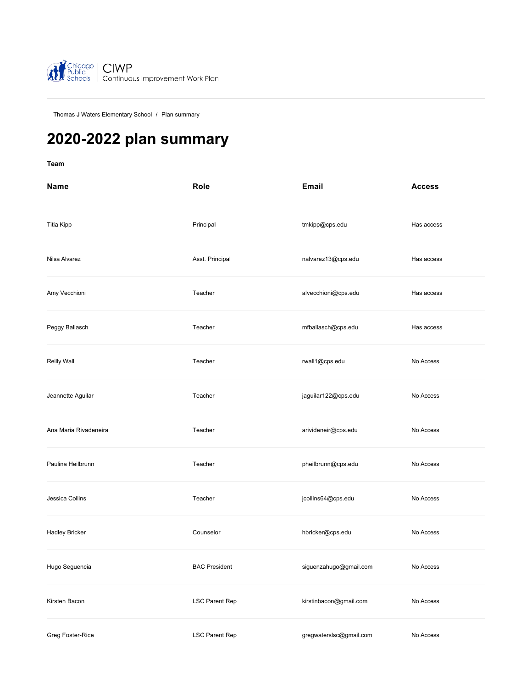

[Thomas J Waters Elementary School](https://ciwp.cps.edu/school/dashboard?schoolId=461) / Plan summary

# **2020-2022 plan summary**

**[Team](#page-0-0)**

<span id="page-0-0"></span>

| Name                  | Role                 | <b>Email</b>            | <b>Access</b> |
|-----------------------|----------------------|-------------------------|---------------|
| <b>Titia Kipp</b>     | Principal            | tmkipp@cps.edu          | Has access    |
| Nilsa Alvarez         | Asst. Principal      | nalvarez13@cps.edu      | Has access    |
| Amy Vecchioni         | Teacher              | alvecchioni@cps.edu     | Has access    |
| Peggy Ballasch        | Teacher              | mfballasch@cps.edu      | Has access    |
| Reilly Wall           | Teacher              | rwall1@cps.edu          | No Access     |
| Jeannette Aguilar     | Teacher              | jaguilar122@cps.edu     | No Access     |
| Ana Maria Rivadeneira | Teacher              | arivideneir@cps.edu     | No Access     |
| Paulina Heilbrunn     | Teacher              | pheilbrunn@cps.edu      | No Access     |
| Jessica Collins       | Teacher              | jcollins64@cps.edu      | No Access     |
| <b>Hadley Bricker</b> | Counselor            | hbricker@cps.edu        | No Access     |
| Hugo Seguencia        | <b>BAC President</b> | siguenzahugo@gmail.com  | No Access     |
| Kirsten Bacon         | LSC Parent Rep       | kirstinbacon@gmail.com  | No Access     |
| Greg Foster-Rice      | LSC Parent Rep       | gregwaterslsc@gmail.com | No Access     |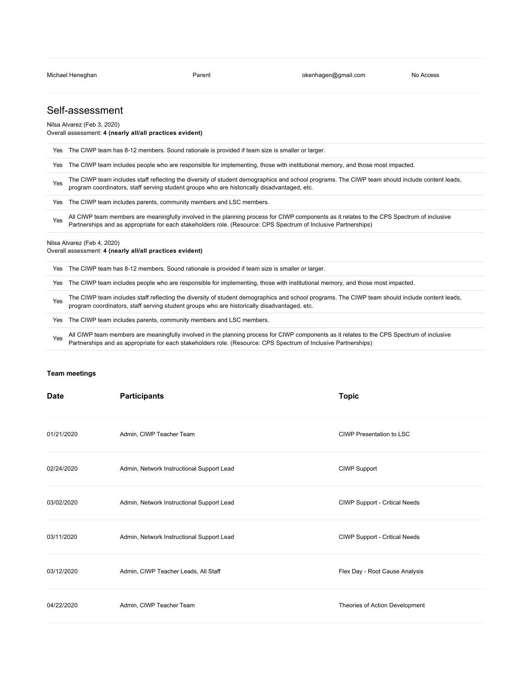## Self-assessment

Nilsa Alvarez (Feb 3, 2020)

#### Overall assessment: **4 (nearly all/all practices evident)**

|     | Yes The CIWP team has 8-12 members. Sound rationale is provided if team size is smaller or larger.                                                                                                                                                           |
|-----|--------------------------------------------------------------------------------------------------------------------------------------------------------------------------------------------------------------------------------------------------------------|
| Yes | The CIWP team includes people who are responsible for implementing, those with institutional memory, and those most impacted.                                                                                                                                |
| Yes | The CIWP team includes staff reflecting the diversity of student demographics and school programs. The CIWP team should include content leads,<br>program coordinators, staff serving student groups who are historically disadvantaged, etc.                |
|     | Yes The CIWP team includes parents, community members and LSC members.                                                                                                                                                                                       |
| Yes | All CIWP team members are meaningfully involved in the planning process for CIWP components as it relates to the CPS Spectrum of inclusive<br>Partnerships and as appropriate for each stakeholders role. (Resource: CPS Spectrum of Inclusive Partnerships) |
|     | Nilsa Alvarez (Feb 4, 2020)<br>Overall assessment: 4 (nearly all/all practices evident)                                                                                                                                                                      |
|     | Yes The CIWP team has 8-12 members. Sound rationale is provided if team size is smaller or larger.                                                                                                                                                           |
|     | Yes The CIWP team includes people who are responsible for implementing, those with institutional memory, and those most impacted.                                                                                                                            |

The CIWP team includes staff reflecting the diversity of student demographics and school programs. The CIWP team should include content leads, program coordinators, staff serving student groups who are historically disadvantaged, etc.

Yes The CIWP team includes parents, community members and LSC members.

All CIWP team members are meaningfully involved in the planning process for CIWP components as it relates to the CPS Spectrum of inclusive<br>
Reduced in a process site of the Library of the CPS Spectrum of Inclusive Reduced Partnerships and as appropriate for each stakeholders role. (Resource: CPS Spectrum of Inclusive Partnerships)

#### **[Team meetings](#page-1-0)**

<span id="page-1-0"></span>

| <b>Date</b> | <b>Participants</b>                       | <b>Topic</b>                   |
|-------------|-------------------------------------------|--------------------------------|
| 01/21/2020  | Admin, CIWP Teacher Team                  | CIWP Presentation to LSC       |
| 02/24/2020  | Admin, Network Instructional Support Lead | CIWP Support                   |
| 03/02/2020  | Admin, Network Instructional Support Lead | CIWP Support - Critical Needs  |
| 03/11/2020  | Admin, Network Instructional Support Lead | CIWP Support - Critical Needs  |
| 03/12/2020  | Admin, CIWP Teacher Leads, All Staff      | Flex Day - Root Cause Analysis |
| 04/22/2020  | Admin, CIWP Teacher Team                  | Theories of Action Development |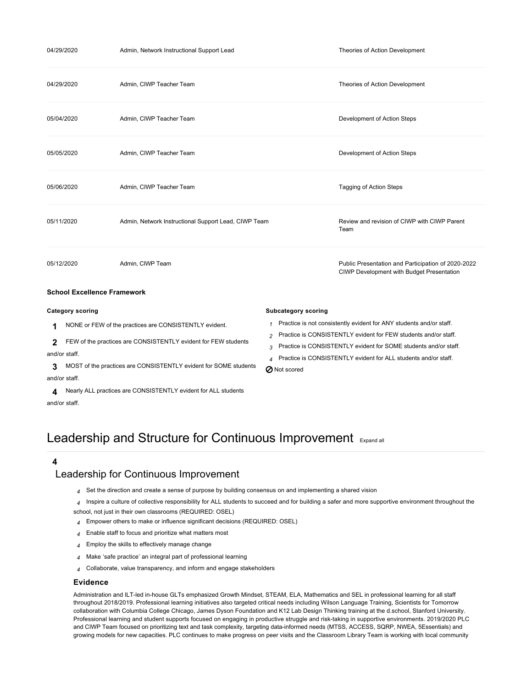| 04/29/2020                         | Admin, Network Instructional Support Lead              |                            | Theories of Action Development                                                                  |
|------------------------------------|--------------------------------------------------------|----------------------------|-------------------------------------------------------------------------------------------------|
| 04/29/2020                         | Admin, CIWP Teacher Team                               |                            | Theories of Action Development                                                                  |
| 05/04/2020                         | Admin, CIWP Teacher Team                               |                            | Development of Action Steps                                                                     |
| 05/05/2020                         | Admin, CIWP Teacher Team                               |                            | Development of Action Steps                                                                     |
| 05/06/2020                         | Admin, CIWP Teacher Team                               |                            | <b>Tagging of Action Steps</b>                                                                  |
| 05/11/2020                         | Admin, Network Instructional Support Lead, CIWP Team   |                            | Review and revision of CIWP with CIWP Parent<br>Team                                            |
| 05/12/2020                         | Admin, CIWP Team                                       |                            | Public Presentation and Participation of 2020-2022<br>CIWP Development with Budget Presentation |
| <b>School Excellence Framework</b> |                                                        |                            |                                                                                                 |
| <b>Category scoring</b>            |                                                        | <b>Subcategory scoring</b> |                                                                                                 |
| 1.                                 | NONE or FEW of the practices are CONSISTENTLY evident. |                            | $1$ Practice is not consistently evident for ANY students and/or staff.                         |

<span id="page-2-0"></span>**1** of the practices are CO

**2** FEW of the practices are CONSISTENTLY evident for FEW students and/or staff.

**3** MOST of the practices are CONSISTENTLY evident for SOME students and/or staff.

**4** Nearly ALL practices are CONSISTENTLY evident for ALL students and/or staff.

# Leadership and Structure for Continuous Improvement [Expand all](https://ciwp.cps.edu/plan/pdfContent/3141?id=3141&actionPlanOnly=False&accessKey=hca339838bs46#)

### **4**

## [Leadership for Continuous Improvement](https://ciwp.cps.edu/plan/pdfContent/3141?id=3141&actionPlanOnly=False&accessKey=hca339838bs46#)

- *4* Set the direction and create a sense of purpose by building consensus on and implementing a shared vision
- *4* Inspire a culture of collective responsibility for ALL students to succeed and for building a safer and more supportive environment throughout the school, not just in their own classrooms (REQUIRED: OSEL)

**Z** Not scored

*2* Practice is CONSISTENTLY evident for FEW students and/or staff. *3* Practice is CONSISTENTLY evident for SOME students and/or staff. *4* Practice is CONSISTENTLY evident for ALL students and/or staff.

- *4* Empower others to make or influence significant decisions (REQUIRED: OSEL)
- *4* Enable staff to focus and prioritize what matters most
- *4* Employ the skills to effectively manage change
- *4* Make 'safe practice' an integral part of professional learning
- *4* Collaborate, value transparency, and inform and engage stakeholders

#### **Evidence**

Administration and ILT-led in-house GLTs emphasized Growth Mindset, STEAM, ELA, Mathematics and SEL in professional learning for all staff throughout 2018/2019. Professional learning initiatives also targeted critical needs including Wilson Language Training, Scientists for Tomorrow collaboration with Columbia College Chicago, James Dyson Foundation and K12 Lab Design Thinking training at the d.school, Stanford University. Professional learning and student supports focused on engaging in productive struggle and risk-taking in supportive environments. 2019/2020 PLC and CIWP Team focused on prioritizing text and task complexity, targeting data-informed needs (MTSS, ACCESS, SQRP, NWEA, 5Essentials) and growing models for new capacities. PLC continues to make progress on peer visits and the Classroom Library Team is working with local community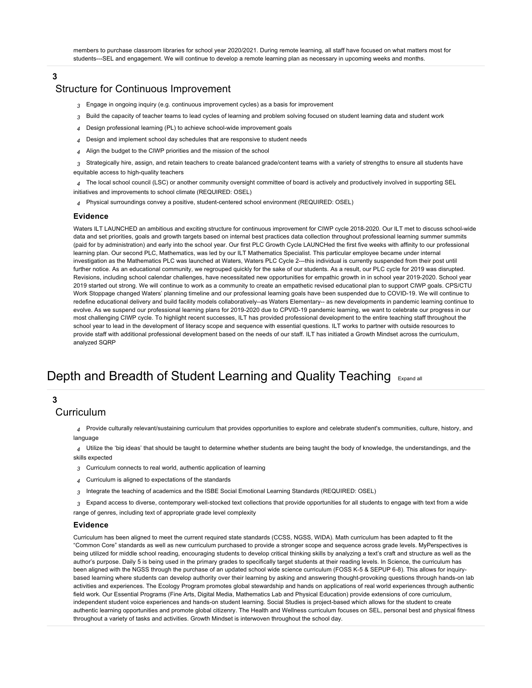members to purchase classroom libraries for school year 2020/2021. During remote learning, all staff have focused on what matters most for students---SEL and engagement. We will continue to develop a remote learning plan as necessary in upcoming weeks and months.

### **3**

## [Structure for Continuous Improvement](https://ciwp.cps.edu/plan/pdfContent/3141?id=3141&actionPlanOnly=False&accessKey=hca339838bs46#)

- *3* Engage in ongoing inquiry (e.g. continuous improvement cycles) as a basis for improvement
- *3* Build the capacity of teacher teams to lead cycles of learning and problem solving focused on student learning data and student work
- *4* Design professional learning (PL) to achieve school-wide improvement goals
- *4* Design and implement school day schedules that are responsive to student needs
- *4* Align the budget to the CIWP priorities and the mission of the school
- *3* Strategically hire, assign, and retain teachers to create balanced grade/content teams with a variety of strengths to ensure all students have equitable access to high-quality teachers

*4* The local school council (LSC) or another community oversight committee of board is actively and productively involved in supporting SEL initiatives and improvements to school climate (REQUIRED: OSEL)

*4* Physical surroundings convey a positive, student-centered school environment (REQUIRED: OSEL)

#### **Evidence**

Waters ILT LAUNCHED an ambitious and exciting structure for continuous improvement for CIWP cycle 2018-2020. Our ILT met to discuss school-wide data and set priorities, goals and growth targets based on internal best practices data collection throughout professional learning summer summits (paid for by administration) and early into the school year. Our first PLC Growth Cycle LAUNCHed the first five weeks with affinity to our professional learning plan. Our second PLC, Mathematics, was led by our ILT Mathematics Specialist. This particular employee became under internal investigation as the Mathematics PLC was launched at Waters, Waters PLC Cycle 2---this individual is currently suspended from their post until further notice. As an educational community, we regrouped quickly for the sake of our students. As a result, our PLC cycle for 2019 was disrupted. Revisions, including school calendar challenges, have necessitated new opportunities for empathic growth in in school year 2019-2020. School year 2019 started out strong. We will continue to work as a community to create an empathetic revised educational plan to support CIWP goals. CPS/CTU Work Stoppage changed Waters' planning timeline and our professional learning goals have been suspended due to COVID-19. We will continue to redefine educational delivery and build facility models collaboratively--as Waters Elementary-- as new developments in pandemic learning continue to evolve. As we suspend our professional learning plans for 2019-2020 due to CPVID-19 pandemic learning, we want to celebrate our progress in our most challenging CIWP cycle. To highlight recent successes, ILT has provided professional development to the entire teaching staff throughout the school year to lead in the development of literacy scope and sequence with essential questions. ILT works to partner with outside resources to provide staff with additional professional development based on the needs of our staff. ILT has initiated a Growth Mindset across the curriculum, analyzed SQRP

# Depth and Breadth of Student Learning and Quality Teaching [Expand all](https://ciwp.cps.edu/plan/pdfContent/3141?id=3141&actionPlanOnly=False&accessKey=hca339838bs46#)

## **3**

## [Curriculum](https://ciwp.cps.edu/plan/pdfContent/3141?id=3141&actionPlanOnly=False&accessKey=hca339838bs46#)

*4* Provide culturally relevant/sustaining curriculum that provides opportunities to explore and celebrate student's communities, culture, history, and language

*4* Utilize the 'big ideas' that should be taught to determine whether students are being taught the body of knowledge, the understandings, and the skills expected

- *3* Curriculum connects to real world, authentic application of learning
- *4* Curriculum is aligned to expectations of the standards
- *3* Integrate the teaching of academics and the ISBE Social Emotional Learning Standards (REQUIRED: OSEL)
- *3* Expand access to diverse, contemporary well-stocked text collections that provide opportunities for all students to engage with text from a wide range of genres, including text of appropriate grade level complexity

#### **Evidence**

Curriculum has been aligned to meet the current required state standards (CCSS, NGSS, WIDA). Math curriculum has been adapted to fit the "Common Core" standards as well as new curriculum purchased to provide a stronger scope and sequence across grade levels. MyPerspectives is being utilized for middle school reading, encouraging students to develop critical thinking skills by analyzing a text's craft and structure as well as the author's purpose. Daily 5 is being used in the primary grades to specifically target students at their reading levels. In Science, the curriculum has been aligned with the NGSS through the purchase of an updated school wide science curriculum (FOSS K-5 & SEPUP 6-8). This allows for inquirybased learning where students can develop authority over their learning by asking and answering thought-provoking questions through hands-on lab activities and experiences. The Ecology Program promotes global stewardship and hands on applications of real world experiences through authentic field work. Our Essential Programs (Fine Arts, Digital Media, Mathematics Lab and Physical Education) provide extensions of core curriculum, independent student voice experiences and hands-on student learning. Social Studies is project-based which allows for the student to create authentic learning opportunities and promote global citizenry. The Health and Wellness curriculum focuses on SEL, personal best and physical fitness throughout a variety of tasks and activities. Growth Mindset is interwoven throughout the school day.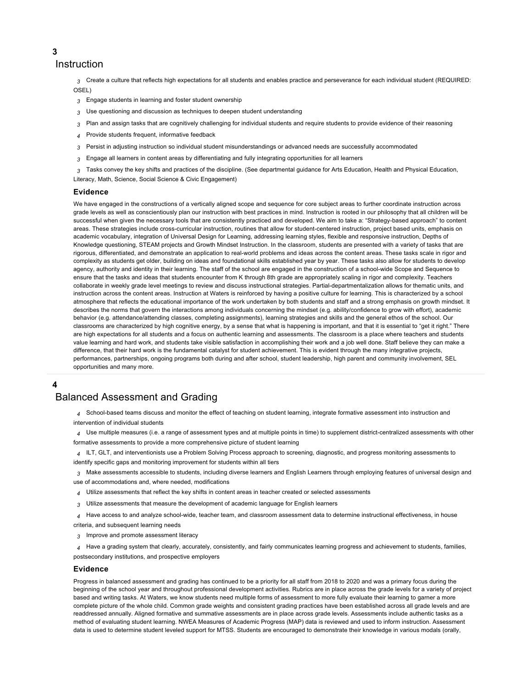[Instruction](https://ciwp.cps.edu/plan/pdfContent/3141?id=3141&actionPlanOnly=False&accessKey=hca339838bs46#)

*3* Create a culture that reflects high expectations for all students and enables practice and perseverance for each individual student (REQUIRED: OSEL)

- *3* Engage students in learning and foster student ownership
- *3* Use questioning and discussion as techniques to deepen student understanding
- *3* Plan and assign tasks that are cognitively challenging for individual students and require students to provide evidence of their reasoning
- *4* Provide students frequent, informative feedback
- *3* Persist in adjusting instruction so individual student misunderstandings or advanced needs are successfully accommodated
- *3* Engage all learners in content areas by differentiating and fully integrating opportunities for all learners
- *3* Tasks convey the key shifts and practices of the discipline. (See departmental guidance for Arts Education, Health and Physical Education, Literacy, Math, Science, Social Science & Civic Engagement)

#### **Evidence**

We have engaged in the constructions of a vertically aligned scope and sequence for core subject areas to further coordinate instruction across grade levels as well as conscientiously plan our instruction with best practices in mind. Instruction is rooted in our philosophy that all children will be successful when given the necessary tools that are consistently practiced and developed. We aim to take a: "Strategy-based approach" to content areas. These strategies include cross-curricular instruction, routines that allow for student-centered instruction, project based units, emphasis on academic vocabulary, integration of Universal Design for Learning, addressing learning styles, flexible and responsive instruction, Depths of Knowledge questioning, STEAM projects and Growth Mindset Instruction. In the classroom, students are presented with a variety of tasks that are rigorous, differentiated, and demonstrate an application to real-world problems and ideas across the content areas. These tasks scale in rigor and complexity as students get older, building on ideas and foundational skills established year by year. These tasks also allow for students to develop agency, authority and identity in their learning. The staff of the school are engaged in the construction of a school-wide Scope and Sequence to ensure that the tasks and ideas that students encounter from K through 8th grade are appropriately scaling in rigor and complexity. Teachers collaborate in weekly grade level meetings to review and discuss instructional strategies. Partial-departmentalization allows for thematic units, and instruction across the content areas. Instruction at Waters is reinforced by having a positive culture for learning. This is characterized by a school atmosphere that reflects the educational importance of the work undertaken by both students and staff and a strong emphasis on growth mindset. It describes the norms that govern the interactions among individuals concerning the mindset (e.g. ability/confidence to grow with effort), academic behavior (e.g. attendance/attending classes, completing assignments), learning strategies and skills and the general ethos of the school. Our classrooms are characterized by high cognitive energy, by a sense that what is happening is important, and that it is essential to "get it right." There are high expectations for all students and a focus on authentic learning and assessments. The classroom is a place where teachers and students value learning and hard work, and students take visible satisfaction in accomplishing their work and a job well done. Staff believe they can make a difference, that their hard work is the fundamental catalyst for student achievement. This is evident through the many integrative projects, performances, partnerships, ongoing programs both during and after school, student leadership, high parent and community involvement, SEL opportunities and many more.

#### **4**

## [Balanced Assessment and Grading](https://ciwp.cps.edu/plan/pdfContent/3141?id=3141&actionPlanOnly=False&accessKey=hca339838bs46#)

- *4* School-based teams discuss and monitor the effect of teaching on student learning, integrate formative assessment into instruction and intervention of individual students
- *4* Use multiple measures (i.e. a range of assessment types and at multiple points in time) to supplement district-centralized assessments with other formative assessments to provide a more comprehensive picture of student learning
- *4* ILT, GLT, and interventionists use a Problem Solving Process approach to screening, diagnostic, and progress monitoring assessments to identify specific gaps and monitoring improvement for students within all tiers
- *3* Make assessments accessible to students, including diverse learners and English Learners through employing features of universal design and use of accommodations and, where needed, modifications
- *4* Utilize assessments that reflect the key shifts in content areas in teacher created or selected assessments
- *3* Utilize assessments that measure the development of academic language for English learners
- *4* Have access to and analyze school-wide, teacher team, and classroom assessment data to determine instructional effectiveness, in house

criteria, and subsequent learning needs

- *3* Improve and promote assessment literacy
- *4* Have a grading system that clearly, accurately, consistently, and fairly communicates learning progress and achievement to students, families,

postsecondary institutions, and prospective employers

#### **Evidence**

Progress in balanced assessment and grading has continued to be a priority for all staff from 2018 to 2020 and was a primary focus during the beginning of the school year and throughout professional development activities. Rubrics are in place across the grade levels for a variety of project based and writing tasks. At Waters, we know students need multiple forms of assessment to more fully evaluate their learning to garner a more complete picture of the whole child. Common grade weights and consistent grading practices have been established across all grade levels and are readdressed annually. Aligned formative and summative assessments are in place across grade levels. Assessments include authentic tasks as a method of evaluating student learning. NWEA Measures of Academic Progress (MAP) data is reviewed and used to inform instruction. Assessment data is used to determine student leveled support for MTSS. Students are encouraged to demonstrate their knowledge in various modals (orally,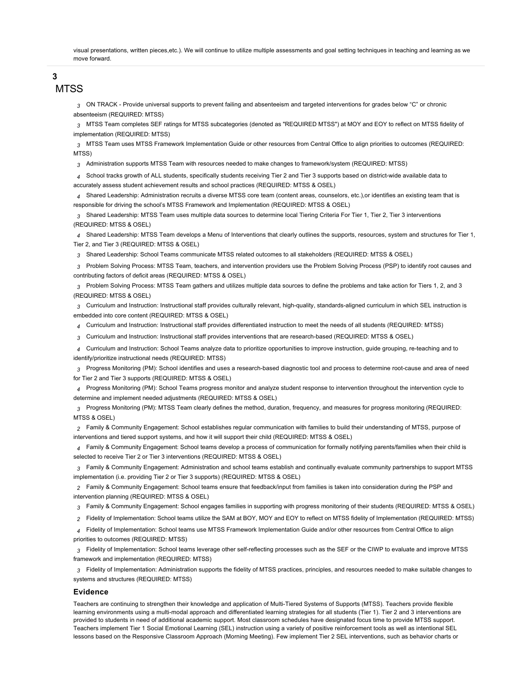visual presentations, written pieces,etc.). We will continue to utilize multiple assessments and goal setting techniques in teaching and learning as we move forward.

## **3**

## **[MTSS](https://ciwp.cps.edu/plan/pdfContent/3141?id=3141&actionPlanOnly=False&accessKey=hca339838bs46#)**

*3* ON TRACK - Provide universal supports to prevent failing and absenteeism and targeted interventions for grades below "C" or chronic absenteeism (REQUIRED: MTSS)

*3* MTSS Team completes SEF ratings for MTSS subcategories (denoted as "REQUIRED MTSS") at MOY and EOY to reflect on MTSS fidelity of implementation (REQUIRED: MTSS)

*3* MTSS Team uses MTSS Framework Implementation Guide or other resources from Central Office to align priorities to outcomes (REQUIRED: MTSS)

*3* Administration supports MTSS Team with resources needed to make changes to framework/system (REQUIRED: MTSS)

*4* School tracks growth of ALL students, specifically students receiving Tier 2 and Tier 3 supports based on district-wide available data to accurately assess student achievement results and school practices (REQUIRED: MTSS & OSEL)

*4* Shared Leadership: Administration recruits a diverse MTSS core team (content areas, counselors, etc.),or identifies an existing team that is responsible for driving the school's MTSS Framework and Implementation (REQUIRED: MTSS & OSEL)

*3* Shared Leadership: MTSS Team uses multiple data sources to determine local Tiering Criteria For Tier 1, Tier 2, Tier 3 interventions (REQUIRED: MTSS & OSEL)

*4* Shared Leadership: MTSS Team develops a Menu of Interventions that clearly outlines the supports, resources, system and structures for Tier 1, Tier 2, and Tier 3 (REQUIRED: MTSS & OSEL)

*3* Shared Leadership: School Teams communicate MTSS related outcomes to all stakeholders (REQUIRED: MTSS & OSEL)

*3* Problem Solving Process: MTSS Team, teachers, and intervention providers use the Problem Solving Process (PSP) to identify root causes and contributing factors of deficit areas (REQUIRED: MTSS & OSEL)

*3* Problem Solving Process: MTSS Team gathers and utilizes multiple data sources to define the problems and take action for Tiers 1, 2, and 3 (REQUIRED: MTSS & OSEL)

*3* Curriculum and Instruction: Instructional staff provides culturally relevant, high-quality, standards-aligned curriculum in which SEL instruction is embedded into core content (REQUIRED: MTSS & OSEL)

*4* Curriculum and Instruction: Instructional staff provides differentiated instruction to meet the needs of all students (REQUIRED: MTSS)

*3* Curriculum and Instruction: Instructional staff provides interventions that are research-based (REQUIRED: MTSS & OSEL)

*4* Curriculum and Instruction: School Teams analyze data to prioritize opportunities to improve instruction, guide grouping, re-teaching and to identify/prioritize instructional needs (REQUIRED: MTSS)

*3* Progress Monitoring (PM): School identifies and uses a research-based diagnostic tool and process to determine root-cause and area of need for Tier 2 and Tier 3 supports (REQUIRED: MTSS & OSEL)

*4* Progress Monitoring (PM): School Teams progress monitor and analyze student response to intervention throughout the intervention cycle to determine and implement needed adjustments (REQUIRED: MTSS & OSEL)

*3* Progress Monitoring (PM): MTSS Team clearly defines the method, duration, frequency, and measures for progress monitoring (REQUIRED: MTSS & OSEL)

*2* Family & Community Engagement: School establishes regular communication with families to build their understanding of MTSS, purpose of interventions and tiered support systems, and how it will support their child (REQUIRED: MTSS & OSEL)

*4* Family & Community Engagement: School teams develop a process of communication for formally notifying parents/families when their child is selected to receive Tier 2 or Tier 3 interventions (REQUIRED: MTSS & OSEL)

*3* Family & Community Engagement: Administration and school teams establish and continually evaluate community partnerships to support MTSS implementation (i.e. providing Tier 2 or Tier 3 supports) (REQUIRED: MTSS & OSEL)

*2* Family & Community Engagement: School teams ensure that feedback/input from families is taken into consideration during the PSP and intervention planning (REQUIRED: MTSS & OSEL)

*3* Family & Community Engagement: School engages families in supporting with progress monitoring of their students (REQUIRED: MTSS & OSEL)

*2* Fidelity of Implementation: School teams utilize the SAM at BOY, MOY and EOY to reflect on MTSS fidelity of Implementation (REQUIRED: MTSS)

*4* Fidelity of Implementation: School teams use MTSS Framework Implementation Guide and/or other resources from Central Office to align priorities to outcomes (REQUIRED: MTSS)

*3* Fidelity of Implementation: School teams leverage other self-reflecting processes such as the SEF or the CIWP to evaluate and improve MTSS framework and implementation (REQUIRED: MTSS)

*3* Fidelity of Implementation: Administration supports the fidelity of MTSS practices, principles, and resources needed to make suitable changes to systems and structures (REQUIRED: MTSS)

#### **Evidence**

Teachers are continuing to strengthen their knowledge and application of Multi-Tiered Systems of Supports (MTSS). Teachers provide flexible learning environments using a multi-modal approach and differentiated learning strategies for all students (Tier 1). Tier 2 and 3 interventions are provided to students in need of additional academic support. Most classroom schedules have designated focus time to provide MTSS support. Teachers implement Tier 1 Social Emotional Learning (SEL) instruction using a variety of positive reinforcement tools as well as intentional SEL lessons based on the Responsive Classroom Approach (Morning Meeting). Few implement Tier 2 SEL interventions, such as behavior charts or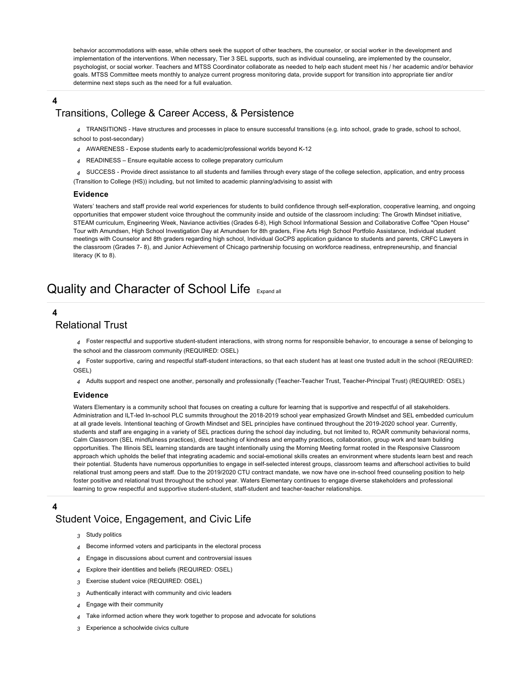behavior accommodations with ease, while others seek the support of other teachers, the counselor, or social worker in the development and implementation of the interventions. When necessary, Tier 3 SEL supports, such as individual counseling, are implemented by the counselor, psychologist, or social worker. Teachers and MTSS Coordinator collaborate as needed to help each student meet his / her academic and/or behavior goals. MTSS Committee meets monthly to analyze current progress monitoring data, provide support for transition into appropriate tier and/or determine next steps such as the need for a full evaluation.

## **4**

## [Transitions, College & Career Access, & Persistence](https://ciwp.cps.edu/plan/pdfContent/3141?id=3141&actionPlanOnly=False&accessKey=hca339838bs46#)

*4* TRANSITIONS - Have structures and processes in place to ensure successful transitions (e.g. into school, grade to grade, school to school,

school to post-secondary)

- *4* AWARENESS Expose students early to academic/professional worlds beyond K-12
- *4* READINESS Ensure equitable access to college preparatory curriculum
- *4* SUCCESS Provide direct assistance to all students and families through every stage of the college selection, application, and entry process
- (Transition to College (HS)) including, but not limited to academic planning/advising to assist with

#### **Evidence**

Waters' teachers and staff provide real world experiences for students to build confidence through self-exploration, cooperative learning, and ongoing opportunities that empower student voice throughout the community inside and outside of the classroom including: The Growth Mindset initiative, STEAM curriculum, Engineering Week, Naviance activities (Grades 6-8), High School Informational Session and Collaborative Coffee "Open House" Tour with Amundsen, High School Investigation Day at Amundsen for 8th graders, Fine Arts High School Portfolio Assistance, Individual student meetings with Counselor and 8th graders regarding high school, Individual GoCPS application guidance to students and parents, CRFC Lawyers in the classroom (Grades 7- 8), and Junior Achievement of Chicago partnership focusing on workforce readiness, entrepreneurship, and financial literacy (K to 8).

# Quality and Character of School Life [Expand all](https://ciwp.cps.edu/plan/pdfContent/3141?id=3141&actionPlanOnly=False&accessKey=hca339838bs46#)

## **4**

## [Relational Trust](https://ciwp.cps.edu/plan/pdfContent/3141?id=3141&actionPlanOnly=False&accessKey=hca339838bs46#)

*4* Foster respectful and supportive student-student interactions, with strong norms for responsible behavior, to encourage a sense of belonging to the school and the classroom community (REQUIRED: OSEL)

*4* Foster supportive, caring and respectful staff-student interactions, so that each student has at least one trusted adult in the school (REQUIRED: OSEL)

*4* Adults support and respect one another, personally and professionally (Teacher-Teacher Trust, Teacher-Principal Trust) (REQUIRED: OSEL)

#### **Evidence**

Waters Elementary is a community school that focuses on creating a culture for learning that is supportive and respectful of all stakeholders. Administration and ILT-led In-school PLC summits throughout the 2018-2019 school year emphasized Growth Mindset and SEL embedded curriculum at all grade levels. Intentional teaching of Growth Mindset and SEL principles have continued throughout the 2019-2020 school year. Currently, students and staff are engaging in a variety of SEL practices during the school day including, but not limited to, ROAR community behavioral norms, Calm Classroom (SEL mindfulness practices), direct teaching of kindness and empathy practices, collaboration, group work and team building opportunities. The Illinois SEL learning standards are taught intentionally using the Morning Meeting format rooted in the Responsive Classroom approach which upholds the belief that integrating academic and social-emotional skills creates an environment where students learn best and reach their potential. Students have numerous opportunities to engage in self-selected interest groups, classroom teams and afterschool activities to build relational trust among peers and staff. Due to the 2019/2020 CTU contract mandate, we now have one in-school freed counseling position to help foster positive and relational trust throughout the school year. Waters Elementary continues to engage diverse stakeholders and professional learning to grow respectful and supportive student-student, staff-student and teacher-teacher relationships.

#### **4**

## [Student Voice, Engagement, and Civic Life](https://ciwp.cps.edu/plan/pdfContent/3141?id=3141&actionPlanOnly=False&accessKey=hca339838bs46#)

- *3* Study politics
- *4* Become informed voters and participants in the electoral process
- *4* Engage in discussions about current and controversial issues
- *4* Explore their identities and beliefs (REQUIRED: OSEL)
- *3* Exercise student voice (REQUIRED: OSEL)
- *3* Authentically interact with community and civic leaders
- *4* Engage with their community
- Take informed action where they work together to propose and advocate for solutions
- *3* Experience a schoolwide civics culture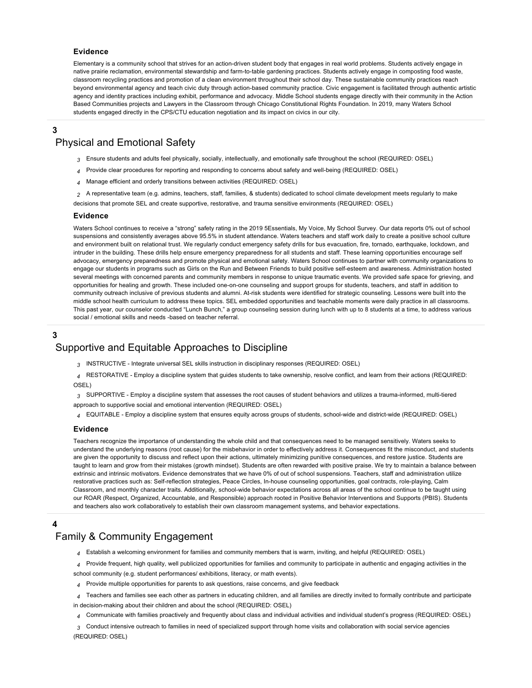#### **Evidence**

Elementary is a community school that strives for an action-driven student body that engages in real world problems. Students actively engage in native prairie reclamation, environmental stewardship and farm-to-table gardening practices. Students actively engage in composting food waste, classroom recycling practices and promotion of a clean environment throughout their school day. These sustainable community practices reach beyond environmental agency and teach civic duty through action-based community practice. Civic engagement is facilitated through authentic artistic agency and identity practices including exhibit, performance and advocacy. Middle School students engage directly with their community in the Action Based Communities projects and Lawyers in the Classroom through Chicago Constitutional Rights Foundation. In 2019, many Waters School students engaged directly in the CPS/CTU education negotiation and its impact on civics in our city.

## **3**

## [Physical and Emotional Safety](https://ciwp.cps.edu/plan/pdfContent/3141?id=3141&actionPlanOnly=False&accessKey=hca339838bs46#)

- *3* Ensure students and adults feel physically, socially, intellectually, and emotionally safe throughout the school (REQUIRED: OSEL)
- *4* Provide clear procedures for reporting and responding to concerns about safety and well-being (REQUIRED: OSEL)
- *4* Manage efficient and orderly transitions between activities (REQUIRED: OSEL)
- *2* A representative team (e.g. admins, teachers, staff, families, & students) dedicated to school climate development meets regularly to make

decisions that promote SEL and create supportive, restorative, and trauma sensitive environments (REQUIRED: OSEL)

#### **Evidence**

Waters School continues to receive a "strong" safety rating in the 2019 5Essentials, My Voice, My School Survey. Our data reports 0% out of school suspensions and consistently averages above 95.5% in student attendance. Waters teachers and staff work daily to create a positive school culture and environment built on relational trust. We regularly conduct emergency safety drills for bus evacuation, fire, tornado, earthquake, lockdown, and intruder in the building. These drills help ensure emergency preparedness for all students and staff. These learning opportunities encourage self advocacy, emergency preparedness and promote physical and emotional safety. Waters School continues to partner with community organizations to engage our students in programs such as Girls on the Run and Between Friends to build positive self-esteem and awareness. Administration hosted several meetings with concerned parents and community members in response to unique traumatic events. We provided safe space for grieving, and opportunities for healing and growth. These included one-on-one counseling and support groups for students, teachers, and staff in addition to community outreach inclusive of previous students and alumni. At-risk students were identified for strategic counseling. Lessons were built into the middle school health curriculum to address these topics. SEL embedded opportunities and teachable moments were daily practice in all classrooms. This past year, our counselor conducted "Lunch Bunch," a group counseling session during lunch with up to 8 students at a time, to address various social / emotional skills and needs -based on teacher referral.

## **3** [Supportive and Equitable Approaches to Discipline](https://ciwp.cps.edu/plan/pdfContent/3141?id=3141&actionPlanOnly=False&accessKey=hca339838bs46#)

*3* INSTRUCTIVE - Integrate universal SEL skills instruction in disciplinary responses (REQUIRED: OSEL)

*4* RESTORATIVE - Employ a discipline system that guides students to take ownership, resolve conflict, and learn from their actions (REQUIRED: OSEL)

- *3* SUPPORTIVE Employ a discipline system that assesses the root causes of student behaviors and utilizes a trauma-informed, multi-tiered approach to supportive social and emotional intervention (REQUIRED: OSEL)
- *4* EQUITABLE Employ a discipline system that ensures equity across groups of students, school-wide and district-wide (REQUIRED: OSEL)

#### **Evidence**

Teachers recognize the importance of understanding the whole child and that consequences need to be managed sensitively. Waters seeks to understand the underlying reasons (root cause) for the misbehavior in order to effectively address it. Consequences fit the misconduct, and students are given the opportunity to discuss and reflect upon their actions, ultimately minimizing punitive consequences, and restore justice. Students are taught to learn and grow from their mistakes (growth mindset). Students are often rewarded with positive praise. We try to maintain a balance between extrinsic and intrinsic motivators. Evidence demonstrates that we have 0% of out of school suspensions. Teachers, staff and administration utilize restorative practices such as: Self-reflection strategies, Peace Circles, In-house counseling opportunities, goal contracts, role-playing, Calm Classroom, and monthly character traits. Additionally, school-wide behavior expectations across all areas of the school continue to be taught using our ROAR (Respect, Organized, Accountable, and Responsible) approach rooted in Positive Behavior Interventions and Supports (PBIS). Students and teachers also work collaboratively to establish their own classroom management systems, and behavior expectations.

#### **4**

## [Family & Community Engagement](https://ciwp.cps.edu/plan/pdfContent/3141?id=3141&actionPlanOnly=False&accessKey=hca339838bs46#)

- *4* Establish a welcoming environment for families and community members that is warm, inviting, and helpful (REQUIRED: OSEL)
- *4* Provide frequent, high quality, well publicized opportunities for families and community to participate in authentic and engaging activities in the school community (e.g. student performances/ exhibitions, literacy, or math events).
- *4* Provide multiple opportunities for parents to ask questions, raise concerns, and give feedback
- *4* Teachers and families see each other as partners in educating children, and all families are directly invited to formally contribute and participate in decision-making about their children and about the school (REQUIRED: OSEL)
- *4* Communicate with families proactively and frequently about class and individual activities and individual student's progress (REQUIRED: OSEL)
- *3* Conduct intensive outreach to families in need of specialized support through home visits and collaboration with social service agencies (REQUIRED: OSEL)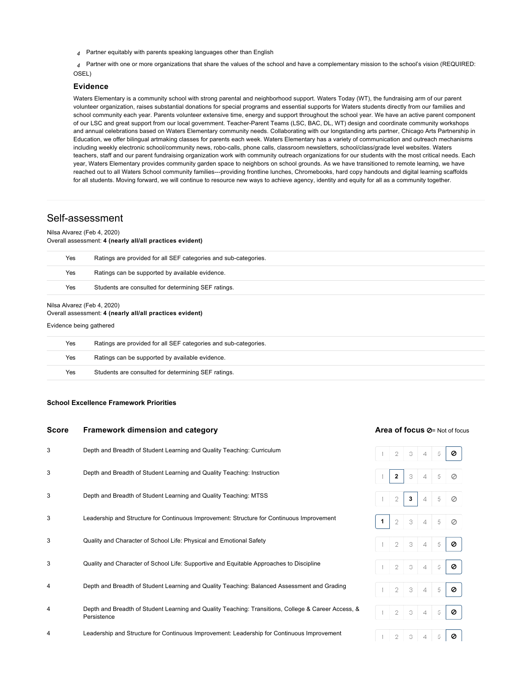*4* Partner equitably with parents speaking languages other than English

*4* Partner with one or more organizations that share the values of the school and have a complementary mission to the school's vision (REQUIRED: OSEL)

#### **Evidence**

Waters Elementary is a community school with strong parental and neighborhood support. Waters Today (WT), the fundraising arm of our parent volunteer organization, raises substantial donations for special programs and essential supports for Waters students directly from our families and school community each year. Parents volunteer extensive time, energy and support throughout the school year. We have an active parent component of our LSC and great support from our local government. Teacher-Parent Teams (LSC, BAC, DL, WT) design and coordinate community workshops and annual celebrations based on Waters Elementary community needs. Collaborating with our longstanding arts partner, Chicago Arts Partnership in Education, we offer bilingual artmaking classes for parents each week. Waters Elementary has a variety of communication and outreach mechanisms including weekly electronic school/community news, robo-calls, phone calls, classroom newsletters, school/class/grade level websites. Waters teachers, staff and our parent fundraising organization work with community outreach organizations for our students with the most critical needs. Each year, Waters Elementary provides community garden space to neighbors on school grounds. As we have transitioned to remote learning, we have reached out to all Waters School community families---providing frontline lunches, Chromebooks, hard copy handouts and digital learning scaffolds for all students. Moving forward, we will continue to resource new ways to achieve agency, identity and equity for all as a community together.

## Self-assessment

#### Nilsa Alvarez (Feb 4, 2020)

Overall assessment: **4 (nearly all/all practices evident)**

| Yes<br>Ratings are provided for all SEF categories and sub-categories.<br>Yes<br>Ratings can be supported by available evidence.<br>Yes<br>Students are consulted for determining SEF ratings.<br>Nilsa Alvarez (Feb 4, 2020)<br>Overall assessment: 4 (nearly all/all practices evident)<br>Evidence being gathered |                                                                 |
|----------------------------------------------------------------------------------------------------------------------------------------------------------------------------------------------------------------------------------------------------------------------------------------------------------------------|-----------------------------------------------------------------|
|                                                                                                                                                                                                                                                                                                                      |                                                                 |
|                                                                                                                                                                                                                                                                                                                      |                                                                 |
|                                                                                                                                                                                                                                                                                                                      |                                                                 |
| Yes                                                                                                                                                                                                                                                                                                                  | Ratings are provided for all SEF categories and sub-categories. |
| Yes                                                                                                                                                                                                                                                                                                                  | Ratings can be supported by available evidence.                 |

Yes Students are consulted for determining SEF ratings.

#### <span id="page-8-0"></span>**[School Excellence Framework Priorities](#page-8-0)**

| <b>Score</b> | Framework dimension and category                                                                                   |   |   |   | Area of focus Ø= Not of focus |    |   |  |  |  |  |
|--------------|--------------------------------------------------------------------------------------------------------------------|---|---|---|-------------------------------|----|---|--|--|--|--|
| 3            | Depth and Breadth of Student Learning and Quality Teaching: Curriculum                                             |   | 2 | 3 | 4                             | 5  | ø |  |  |  |  |
| 3            | Depth and Breadth of Student Learning and Quality Teaching: Instruction                                            |   | 2 | 3 | 4                             | 5  | Ø |  |  |  |  |
| 3            | Depth and Breadth of Student Learning and Quality Teaching: MTSS                                                   |   | 2 | 3 | 4                             | 5  | ⊘ |  |  |  |  |
| 3            | Leadership and Structure for Continuous Improvement: Structure for Continuous Improvement                          | 1 | 2 | 3 | 4                             | 5. | Ø |  |  |  |  |
| 3            | Quality and Character of School Life: Physical and Emotional Safety                                                |   | 2 | 3 | 4                             | 5  | ø |  |  |  |  |
| 3            | Quality and Character of School Life: Supportive and Equitable Approaches to Discipline                            |   | 2 | 3 | 4                             | 5  | ø |  |  |  |  |
| 4            | Depth and Breadth of Student Learning and Quality Teaching: Balanced Assessment and Grading                        |   | 2 | 3 | 4                             | 5  | ø |  |  |  |  |
| 4            | Depth and Breadth of Student Learning and Quality Teaching: Transitions, College & Career Access, &<br>Persistence |   | 2 | 3 | 4                             | 5  | Ø |  |  |  |  |

4 Leadership and Structure for Continuous Improvement: Leadership for Continuous Improvement

| $\vert$ 1                 |           |  | 23450                                                                          |
|---------------------------|-----------|--|--------------------------------------------------------------------------------|
|                           | $1 \ 2$   |  | $\begin{array}{ c c c c c }\n\hline\n\mathbf{3} & 4 & 5 & \hline\n\end{array}$ |
|                           |           |  |                                                                                |
| $\ensuremath{\mathsf{I}}$ |           |  | 23450                                                                          |
| $\ensuremath{\mathbb{1}}$ |           |  | $2345$                                                                         |
| 1                         |           |  |                                                                                |
| 1                         |           |  | $2$ 3 4 5 0                                                                    |
| 1                         | $\perp$ 2 |  | $345$                                                                          |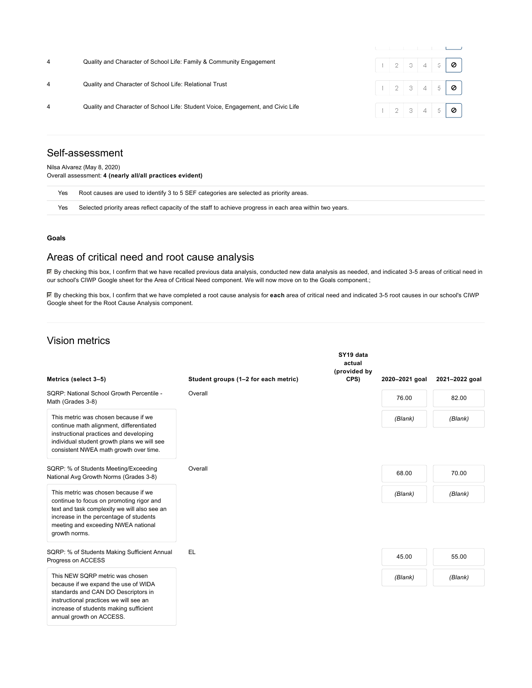| Quality and Character of School Life: Family & Community Engagement             |  |  | $1 \ 2 \ 3 \ 4 \ 5 \ 9$                |  |
|---------------------------------------------------------------------------------|--|--|----------------------------------------|--|
| Quality and Character of School Life: Relational Trust                          |  |  | $1 \ 2 \ 3 \ 4 \ 5 \ 9$                |  |
| Quality and Character of School Life: Student Voice, Engagement, and Civic Life |  |  | $1 \mid 2 \mid 3 \mid 4 \mid 5 \mid 0$ |  |

## Self-assessment

Nilsa Alvarez (May 8, 2020) Overall assessment: **4 (nearly all/all practices evident)**

| Yes | Root causes are used to identify 3 to 5 SEF categories are selected as priority areas.                   |
|-----|----------------------------------------------------------------------------------------------------------|
| Yes | Selected priority areas reflect capacity of the staff to achieve progress in each area within two years. |

#### **[Goals](#page-9-0)**

## <span id="page-9-0"></span>Areas of critical need and root cause analysis

By checking this box, I confirm that we have recalled previous data analysis, conducted new data analysis as needed, and indicated 3-5 areas of critical need in our school's CIWP Google sheet for the Area of Critical Need component. We will now move on to the Goals component.;

By checking this box, I confirm that we have completed a root cause analysis for **each** area of critical need and indicated 3-5 root causes in our school's CIWP Google sheet for the Root Cause Analysis component.

## Vision metrics

| Metrics (select 3-5)                                                                                                                                                                                                               | Student groups (1-2 for each metric) | SY19 data<br>actual<br>(provided by<br>CPS) | 2020-2021 goal | 2021-2022 goal |
|------------------------------------------------------------------------------------------------------------------------------------------------------------------------------------------------------------------------------------|--------------------------------------|---------------------------------------------|----------------|----------------|
| SORP: National School Growth Percentile -<br>Math (Grades 3-8)                                                                                                                                                                     | Overall                              |                                             | 76.00          | 82.00          |
| This metric was chosen because if we<br>continue math alignment, differentiated<br>instructional practices and developing<br>individual student growth plans we will see<br>consistent NWEA math growth over time.                 |                                      |                                             | (Blank)        | (Blank)        |
| SQRP: % of Students Meeting/Exceeding<br>National Avg Growth Norms (Grades 3-8)                                                                                                                                                    | Overall                              |                                             | 68.00          | 70.00          |
| This metric was chosen because if we<br>continue to focus on promoting rigor and<br>text and task complexity we will also see an<br>increase in the percentage of students<br>meeting and exceeding NWEA national<br>growth norms. |                                      |                                             | (Blank)        | (Blank)        |
| SQRP: % of Students Making Sufficient Annual<br>Progress on ACCESS                                                                                                                                                                 | EL.                                  |                                             | 45.00          | 55.00          |
| This NEW SORP metric was chosen<br>because if we expand the use of WIDA<br>standards and CAN DO Descriptors in<br>instructional practices we will see an<br>increase of students making sufficient<br>annual growth on ACCESS.     |                                      |                                             | (Blank)        | (Blank)        |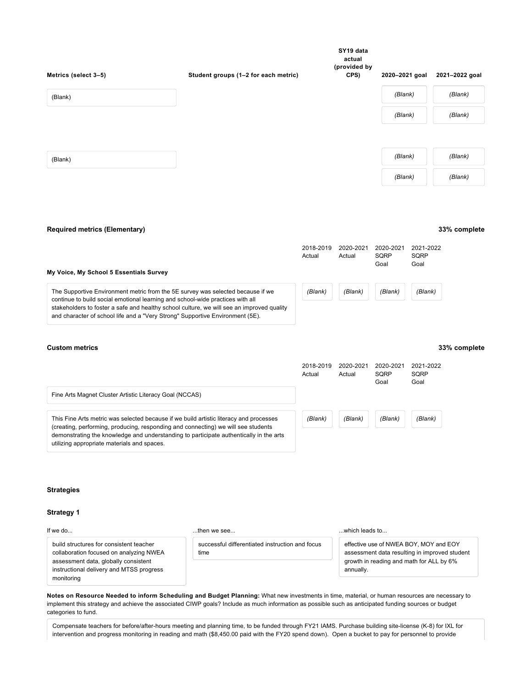| Metrics (select 3-5) | Student groups (1-2 for each metric) | SY19 data<br>actual<br>(provided by<br>CPS) | 2020-2021 goal | 2021-2022 goal |
|----------------------|--------------------------------------|---------------------------------------------|----------------|----------------|
| (Blank)              |                                      |                                             | (Blank)        | (Blank)        |
|                      |                                      |                                             | (Blank)        | (Blank)        |
|                      |                                      |                                             |                |                |
| (Blank)              |                                      |                                             | (Blank)        | (Blank)        |
|                      |                                      |                                             | (Blank)        | (Blank)        |

#### **[Required metrics \(Elementary\)](#page-10-0)**

<span id="page-10-0"></span>

| My Voice, My School 5 Essentials Survey                                                                                                                                    | 2018-2019<br>Actual | 2020-2021<br>Actual | 2020-2021<br>SQRP<br>Goal | 2021-2022<br>SQRP<br>Goal |
|----------------------------------------------------------------------------------------------------------------------------------------------------------------------------|---------------------|---------------------|---------------------------|---------------------------|
| The Supportive Environment metric from the 5E survey was selected because if we<br>continue to build social emotional learning and school-wide practices with all          | (Blank)             | (Blank)             | (Blank)                   | (Blank)                   |
| stakeholders to foster a safe and healthy school culture, we will see an improved quality<br>and character of school life and a "Very Strong" Supportive Environment (5E). |                     |                     |                           |                           |

#### **[Custom metrics](#page-10-1)**

## **33% complete**

**33% complete**

<span id="page-10-1"></span>

|                                                                                                                                                                             | 2018-2019<br>Actual | 2020-2021<br>Actual | 2020-2021<br><b>SQRP</b><br>Goal | 2021-2022<br>SQRP<br>Goal |
|-----------------------------------------------------------------------------------------------------------------------------------------------------------------------------|---------------------|---------------------|----------------------------------|---------------------------|
| Fine Arts Magnet Cluster Artistic Literacy Goal (NCCAS)                                                                                                                     |                     |                     |                                  |                           |
| This Fine Arts metric was selected because if we build artistic literacy and processes<br>(creating, performing, producing, responding and connecting) we will see students | (Blank)             | (Blank)             | (Blank)                          | (Blank)                   |
| demonstrating the knowledge and understanding to participate authentically in the arts<br>utilizing appropriate materials and spaces.                                       |                     |                     |                                  |                           |

#### **[Strategies](#page-10-2)**

#### <span id="page-10-2"></span>**[Strategy 1](#page-10-3)**

<span id="page-10-3"></span>If we do...

#### ...then we see...

build structures for consistent teacher collaboration focused on analyzing NWEA assessment data, globally consistent instructional delivery and MTSS progress monitoring

successful differentiated instruction and focus time

...which leads to...

effective use of NWEA BOY, MOY and EOY assessment data resulting in improved student growth in reading and math for ALL by 6% annually.

**Notes on Resource Needed to inform Scheduling and Budget Planning:** What new investments in time, material, or human resources are necessary to [implement this strategy and achieve the associated CIWP goals? Include as much information as possible such as anticipated funding sources or budget](https://docs.google.com/document/d/17eqe9rWfMOOwbJLw12e7hXBteKzgm5PeSAbN0g00IA8/edit?usp=sharing) categories to fund.

Compensate teachers for before/after-hours meeting and planning time, to be funded through FY21 IAMS. Purchase building site-license (K-8) for IXL for intervention and progress monitoring in reading and math (\$8,450.00 paid with the FY20 spend down). Open a bucket to pay for personnel to provide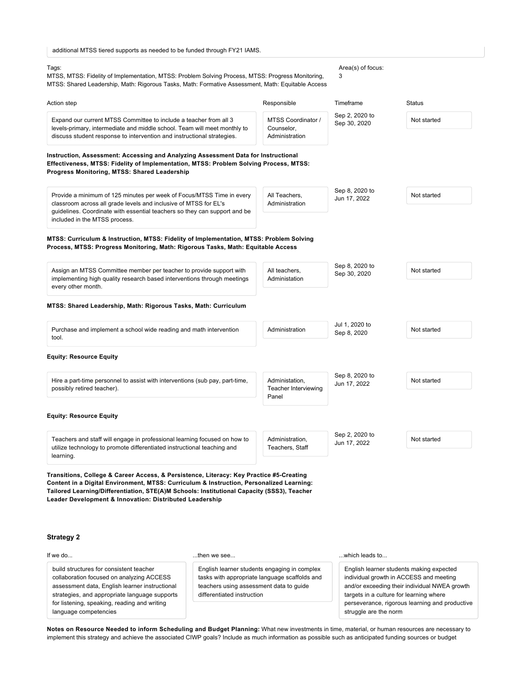| additional MTSS tiered supports as needed to be funded through FY21 IAMS. |  |  |
|---------------------------------------------------------------------------|--|--|
|---------------------------------------------------------------------------|--|--|

#### Tags:

MTSS, MTSS: Fidelity of Implementation, MTSS: Problem Solving Process, MTSS: Progress Monitoring, MTSS: Shared Leadership, Math: Rigorous Tasks, Math: Formative Assessment, Math: Equitable Access

#### Area(s) of focus: 3

| Action step                                                                                                                                    | Responsible                      | Timeframe                      | Status      |
|------------------------------------------------------------------------------------------------------------------------------------------------|----------------------------------|--------------------------------|-------------|
| Expand our current MTSS Committee to include a teacher from all 3<br>levels-primary, intermediate and middle school. Team will meet monthly to | MTSS Coordinator /<br>Counselor, | Sep 2, 2020 to<br>Sep 30, 2020 | Not started |
| discuss student response to intervention and instructional strategies.                                                                         | Administration                   |                                |             |

**Instruction, Assessment: Accessing and Analyzing Assessment Data for Instructional Effectiveness, MTSS: Fidelity of Implementation, MTSS: Problem Solving Process, MTSS: Progress Monitoring, MTSS: Shared Leadership**

| Provide a minimum of 125 minutes per week of Focus/MTSS Time in every<br>classroom across all grade levels and inclusive of MTSS for EL's | All Teachers.<br>Administration | Sep 8, 2020 to<br>Jun 17, 2022 | Not started |
|-------------------------------------------------------------------------------------------------------------------------------------------|---------------------------------|--------------------------------|-------------|
| quidelines. Coordinate with essential teachers so they can support and be                                                                 |                                 |                                |             |
| included in the MTSS process.                                                                                                             |                                 |                                |             |

#### **MTSS: Curriculum & Instruction, MTSS: Fidelity of Implementation, MTSS: Problem Solving Process, MTSS: Progress Monitoring, Math: Rigorous Tasks, Math: Equitable Access**

|                    | Assign an MTSS Committee member per teacher to provide support with<br>implementing high quality research based interventions through meetings | All teachers.<br>Administation | Sep 8, 2020 to<br>Sep 30, 2020 | Not started |
|--------------------|------------------------------------------------------------------------------------------------------------------------------------------------|--------------------------------|--------------------------------|-------------|
| every other month. |                                                                                                                                                |                                |                                |             |
|                    |                                                                                                                                                |                                |                                |             |

#### **MTSS: Shared Leadership, Math: Rigorous Tasks, Math: Curriculum**

| Purchase and implement a school wide reading and math intervention | Administration | Jul 1, 2020 to<br>Sep 8, 2020 |  |
|--------------------------------------------------------------------|----------------|-------------------------------|--|
| tool.                                                              |                |                               |  |

#### **Equity: Resource Equity**

| Hire a part-time personnel to assist with interventions (sub pay, part-time,<br>possibly retired teacher).                                           | Administation.<br>Teacher Interviewing<br>Panel | Sep 8, 2020 to<br>Jun 17, 2022 |             |
|------------------------------------------------------------------------------------------------------------------------------------------------------|-------------------------------------------------|--------------------------------|-------------|
| <b>Equity: Resource Equity</b>                                                                                                                       |                                                 |                                |             |
| Teachers and staff will engage in professional learning focused on how to<br>utilize technology to promote differentiated instructional teaching and | Administration.<br>Teachers. Staff              | Sep 2, 2020 to<br>Jun 17, 2022 | Not started |

**Transitions, College & Career Access, & Persistence, Literacy: Key Practice #5-Creating Content in a Digital Environment, MTSS: Curriculum & Instruction, Personalized Learning: Tailored Learning/Differentiation, STE(A)M Schools: Institutional Capacity (SSS3), Teacher Leader Development & Innovation: Distributed Leadership**

#### **[Strategy 2](#page-11-0)**

learning.

#### <span id="page-11-0"></span>If we do...

build structures for consistent teacher collaboration focused on analyzing ACCESS assessment data, English learner instructional strategies, and appropriate language supports for listening, speaking, reading and writing language competencies

#### ...then we see...

English learner students engaging in complex tasks with appropriate language scaffolds and teachers using assessment data to guide differentiated instruction

#### ...which leads to...

English learner students making expected individual growth in ACCESS and meeting and/or exceeding their individual NWEA growth targets in a culture for learning where perseverance, rigorous learning and productive struggle are the norm

Not started

**Notes on Resource Needed to inform Scheduling and Budget Planning:** What new investments in time, material, or human resources are necessary to [implement this strategy and achieve the associated CIWP goals? Include as much information as possible such as anticipated funding sources or budget](https://docs.google.com/document/d/17eqe9rWfMOOwbJLw12e7hXBteKzgm5PeSAbN0g00IA8/edit?usp=sharing)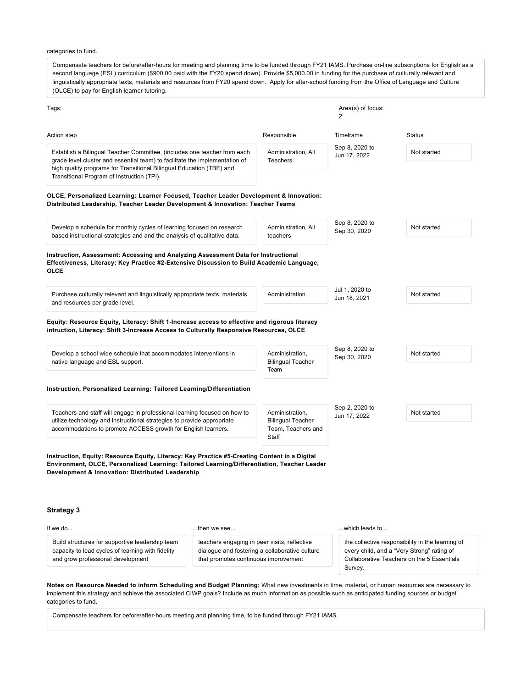[categories to fund.](https://docs.google.com/document/d/17eqe9rWfMOOwbJLw12e7hXBteKzgm5PeSAbN0g00IA8/edit?usp=sharing) Compensate teachers for before/after-hours for meeting and planning time to be funded through FY21 IAMS. Purchase on-line subscriptions for English as a second language (ESL) curriculum (\$900.00 paid with the FY20 spend down). Provide \$5,000.00 in funding for the purchase of culturally relevant and linguistically appropriate texts, materials and resources from FY20 spend down. Apply for after-school funding from the Office of Language and Culture (OLCE) to pay for English learner tutoring. Tags: Area(s) of focus: Area(s) of focus: Area(s) of focus: 2 Action step Responsible Timeframe Status Establish a Bilingual Teacher Committee, (includes one teacher from each grade level cluster and essential team) to facilitate the implementation of high quality programs for Transitional Bilingual Education (TBE) and Transitional Program of Instruction (TPI). Administration, All **Teachers** Sep 8, 2020 to Jun 17, 2022 Not started **OLCE, Personalized Learning: Learner Focused, Teacher Leader Development & Innovation: Distributed Leadership, Teacher Leader Development & Innovation: Teacher Teams** Develop a schedule for monthly cycles of learning focused on research based instructional strategies and and the analysis of qualitative data. Administration, All teachers Sep 8, 2020 to Sep 30, 2020 Not started **Instruction, Assessment: Accessing and Analyzing Assessment Data for Instructional Effectiveness, Literacy: Key Practice #2-Extensive Discussion to Build Academic Language, OLCE** Purchase culturally relevant and linguistically appropriate texts, materials and resources per grade level. Administration Jul 1, 2020 to Jun 18, 2021 Not started **Equity: Resource Equity, Literacy: Shift 1-Increase access to effective and rigorous literacy intruction, Literacy: Shift 3-Increase Access to Culturally Responsive Resources, OLCE** Develop a school wide schedule that accommodates interventions in native language and ESL support. Administration, Bilingual Teacher Team Sep 8, 2020 to Sep 30, 2020 to Not started **Instruction, Personalized Learning: Tailored Learning/Differentiation** Teachers and staff will engage in professional learning focused on how to utilize technology and instructional strategies to provide appropriate accommodations to promote ACCESS growth for English learners. Administration, Bilingual Teacher Team, Teachers and **Staff** Sep 2, 2020 to Jun 17, 2022 Not started **Instruction, Equity: Resource Equity, Literacy: Key Practice #5-Creating Content in a Digital Environment, OLCE, Personalized Learning: Tailored Learning/Differentiation, Teacher Leader Development & Innovation: Distributed Leadership**

#### **[Strategy 3](#page-12-0)**

#### <span id="page-12-0"></span>If we do...

...then we see...

Build structures for supportive leadership team capacity to lead cycles of learning with fidelity and grow professional development

teachers engaging in peer visits, reflective dialogue and fostering a collaborative culture that promotes continuous improvement

...which leads to...

the collective responsibility in the learning of every child, and a "Very Strong" rating of Collaborative Teachers on the 5 Essentials Survey.

**Notes on Resource Needed to inform Scheduling and Budget Planning:** What new investments in time, material, or human resources are necessary to [implement this strategy and achieve the associated CIWP goals? Include as much information as possible such as anticipated funding sources or budget](https://docs.google.com/document/d/17eqe9rWfMOOwbJLw12e7hXBteKzgm5PeSAbN0g00IA8/edit?usp=sharing) categories to fund.

Compensate teachers for before/after-hours meeting and planning time, to be funded through FY21 IAMS.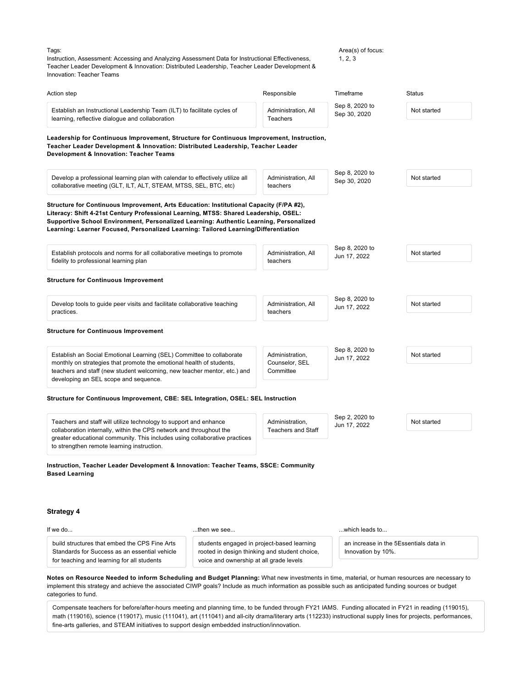Tags:

Area(s) of focus:

Instruction, Assessment: Accessing and Analyzing Assessment Data for Instructional Effectiveness, Teacher Leader Development & Innovation: Distributed Leadership, Teacher Leader Development &  $1, 2, 3$ 

| Innovation: Teacher Teams                                                                                                                                                                                                                                                                                                                                        |                                                                                       |                                                |                                |                                        |
|------------------------------------------------------------------------------------------------------------------------------------------------------------------------------------------------------------------------------------------------------------------------------------------------------------------------------------------------------------------|---------------------------------------------------------------------------------------|------------------------------------------------|--------------------------------|----------------------------------------|
| Action step                                                                                                                                                                                                                                                                                                                                                      |                                                                                       | Responsible                                    | Timeframe                      | <b>Status</b>                          |
| Establish an Instructional Leadership Team (ILT) to facilitate cycles of<br>learning, reflective dialogue and collaboration                                                                                                                                                                                                                                      |                                                                                       | Administration, All<br>Teachers                | Sep 8, 2020 to<br>Sep 30, 2020 | Not started                            |
| Leadership for Continuous Improvement, Structure for Continuous Improvement, Instruction,<br>Teacher Leader Development & Innovation: Distributed Leadership, Teacher Leader<br>Development & Innovation: Teacher Teams                                                                                                                                          |                                                                                       |                                                |                                |                                        |
| Develop a professional learning plan with calendar to effectively utilize all<br>collaborative meeting (GLT, ILT, ALT, STEAM, MTSS, SEL, BTC, etc)                                                                                                                                                                                                               |                                                                                       | Administration, All<br>teachers                | Sep 8, 2020 to<br>Sep 30, 2020 | Not started                            |
| Structure for Continuous Improvement, Arts Education: Institutional Capacity (F/PA #2),<br>Literacy: Shift 4-21st Century Professional Learning, MTSS: Shared Leadership, OSEL:<br>Supportive School Environment, Personalized Learning: Authentic Learning, Personalized<br>Learning: Learner Focused, Personalized Learning: Tailored Learning/Differentiation |                                                                                       |                                                |                                |                                        |
| Establish protocols and norms for all collaborative meetings to promote<br>fidelity to professional learning plan                                                                                                                                                                                                                                                |                                                                                       | Administration, All<br>teachers                | Sep 8, 2020 to<br>Jun 17, 2022 | Not started                            |
| <b>Structure for Continuous Improvement</b>                                                                                                                                                                                                                                                                                                                      |                                                                                       |                                                |                                |                                        |
| Develop tools to guide peer visits and facilitate collaborative teaching<br>practices.                                                                                                                                                                                                                                                                           |                                                                                       | Administration, All<br>teachers                | Sep 8, 2020 to<br>Jun 17, 2022 | Not started                            |
| <b>Structure for Continuous Improvement</b>                                                                                                                                                                                                                                                                                                                      |                                                                                       |                                                |                                |                                        |
| Establish an Social Emotional Learning (SEL) Committee to collaborate<br>monthly on strategies that promote the emotional health of students,<br>teachers and staff (new student welcoming, new teacher mentor, etc.) and<br>developing an SEL scope and sequence.                                                                                               |                                                                                       | Administration,<br>Counselor, SEL<br>Committee | Sep 8, 2020 to<br>Jun 17, 2022 | Not started                            |
| Structure for Continuous Improvement, CBE: SEL Integration, OSEL: SEL Instruction                                                                                                                                                                                                                                                                                |                                                                                       |                                                |                                |                                        |
| Teachers and staff will utilize technology to support and enhance<br>collaboration internally, within the CPS network and throughout the<br>greater educational community. This includes using collaborative practices<br>to strengthen remote learning instruction.                                                                                             |                                                                                       | Administration,<br><b>Teachers and Staff</b>   | Sep 2, 2020 to<br>Jun 17, 2022 | Not started                            |
| Instruction, Teacher Leader Development & Innovation: Teacher Teams, SSCE: Community<br><b>Based Learning</b>                                                                                                                                                                                                                                                    |                                                                                       |                                                |                                |                                        |
| <b>Strategy 4</b>                                                                                                                                                                                                                                                                                                                                                |                                                                                       |                                                |                                |                                        |
| If we do                                                                                                                                                                                                                                                                                                                                                         | then we see                                                                           |                                                | which leads to                 |                                        |
| build structures that embed the CPS Fine Arts<br>Standards for Success as an essential vehicle<br>for teaching and learning for all students                                                                                                                                                                                                                     | students engaged in project-based learning<br>voice and ownership at all grade levels | rooted in design thinking and student choice,  | Innovation by 10%.             | an increase in the 5Essentials data in |
| Notes on Resource Needed to inform Scheduling and Budget Planning: What new investments in time, material, or human resources are necessary to<br>implement this strategy and achieve the associated CIWP goals? Include as much information as possible such as anticipated funding sources or budget<br>categories to fund.                                    |                                                                                       |                                                |                                |                                        |

<span id="page-13-0"></span>Compensate teachers for before/after-hours meeting and planning time, to be funded through FY21 IAMS. Funding allocated in FY21 in reading (119015), math (119016), science (119017), music (111041), art (111041) and all-city drama/literary arts (112233) instructional supply lines for projects, performances, fine-arts galleries, and STEAM initiatives to support design embedded instruction/innovation.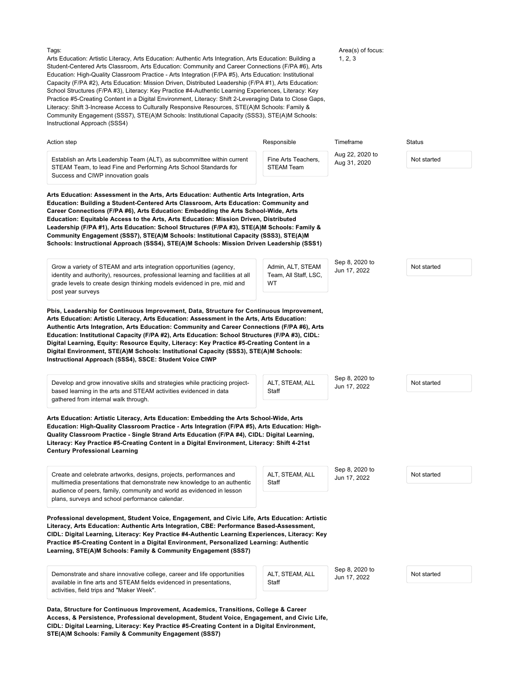Tags:

Arts Education: Artistic Literacy, Arts Education: Authentic Arts Integration, Arts Education: Building a Student-Centered Arts Classroom, Arts Education: Community and Career Connections (F/PA #6), Arts Education: High-Quality Classroom Practice - Arts Integration (F/PA #5), Arts Education: Institutional Capacity (F/PA #2), Arts Education: Mission Driven, Distributed Leadership (F/PA #1), Arts Education: School Structures (F/PA #3), Literacy: Key Practice #4-Authentic Learning Experiences, Literacy: Key Practice #5-Creating Content in a Digital Environment, Literacy: Shift 2-Leveraging Data to Close Gaps, Literacy: Shift 3-Increase Access to Culturally Responsive Resources, STE(A)M Schools: Family & Community Engagement (SSS7), STE(A)M Schools: Institutional Capacity (SSS3), STE(A)M Schools:

Area(s) of focus: 1, 2, 3

Instructional Approach (SSS4) Action step Responsible Timeframe Status Establish an Arts Leadership Team (ALT), as subcommittee within current STEAM Team, to lead Fine and Performing Arts School Standards for Success and CIWP innovation goals Fine Arts Teachers, STEAM Team Aug 22, 2020 to Aug 22, 2020 to Not started **Arts Education: Assessment in the Arts, Arts Education: Authentic Arts Integration, Arts Education: Building a Student-Centered Arts Classroom, Arts Education: Community and Career Connections (F/PA #6), Arts Education: Embedding the Arts School-Wide, Arts Education: Equitable Access to the Arts, Arts Education: Mission Driven, Distributed Leadership (F/PA #1), Arts Education: School Structures (F/PA #3), STE(A)M Schools: Family & Community Engagement (SSS7), STE(A)M Schools: Institutional Capacity (SSS3), STE(A)M Schools: Instructional Approach (SSS4), STE(A)M Schools: Mission Driven Leadership (SSS1)** Grow a variety of STEAM and arts integration opportunities (agency, identity and authority), resources, professional learning and facilities at all grade levels to create design thinking models evidenced in pre, mid and post year surveys Admin, ALT, STEAM Team, All Staff, LSC, WT Sep 8, 2020 to Jun 17, 2022 Not started **Pbis, Leadership for Continuous Improvement, Data, Structure for Continuous Improvement, Arts Education: Artistic Literacy, Arts Education: Assessment in the Arts, Arts Education: Authentic Arts Integration, Arts Education: Community and Career Connections (F/PA #6), Arts Education: Institutional Capacity (F/PA #2), Arts Education: School Structures (F/PA #3), CIDL: Digital Learning, Equity: Resource Equity, Literacy: Key Practice #5-Creating Content in a Digital Environment, STE(A)M Schools: Institutional Capacity (SSS3), STE(A)M Schools: Instructional Approach (SSS4), SSCE: Student Voice CIWP** Develop and grow innovative skills and strategies while practicing projectbased learning in the arts and STEAM activities evidenced in data gathered from internal walk through. ALT, STEAM, ALL **Staff** Sep 8, 2020 to Jun 17, 2022 Not started **Arts Education: Artistic Literacy, Arts Education: Embedding the Arts School-Wide, Arts Education: High-Quality Classroom Practice - Arts Integration (F/PA #5), Arts Education: High-Quality Classroom Practice - Single Strand Arts Education (F/PA #4), CIDL: Digital Learning, Literacy: Key Practice #5-Creating Content in a Digital Environment, Literacy: Shift 4-21st Century Professional Learning** Create and celebrate artworks, designs, projects, performances and multimedia presentations that demonstrate new knowledge to an authentic audience of peers, family, community and world as evidenced in lesson plans, surveys and school performance calendar. ALT, STEAM, ALL **Staff** Sep 8, 2020 to Jun 17, 2022 Not started **Professional development, Student Voice, Engagement, and Civic Life, Arts Education: Artistic Literacy, Arts Education: Authentic Arts Integration, CBE: Performance Based-Assessment, CIDL: Digital Learning, Literacy: Key Practice #4-Authentic Learning Experiences, Literacy: Key Practice #5-Creating Content in a Digital Environment, Personalized Learning: Authentic Learning, STE(A)M Schools: Family & Community Engagement (SSS7)** Demonstrate and share innovative college, career and life opportunities available in fine arts and STEAM fields evidenced in presentations, activities, field trips and "Maker Week". ALT, STEAM, ALL **Staff** Sep 8, 2020 to Jun 17, 2022 Not started **Data, Structure for Continuous Improvement, Academics, Transitions, College & Career**

**Access, & Persistence, Professional development, Student Voice, Engagement, and Civic Life, CIDL: Digital Learning, Literacy: Key Practice #5-Creating Content in a Digital Environment, STE(A)M Schools: Family & Community Engagement (SSS7)**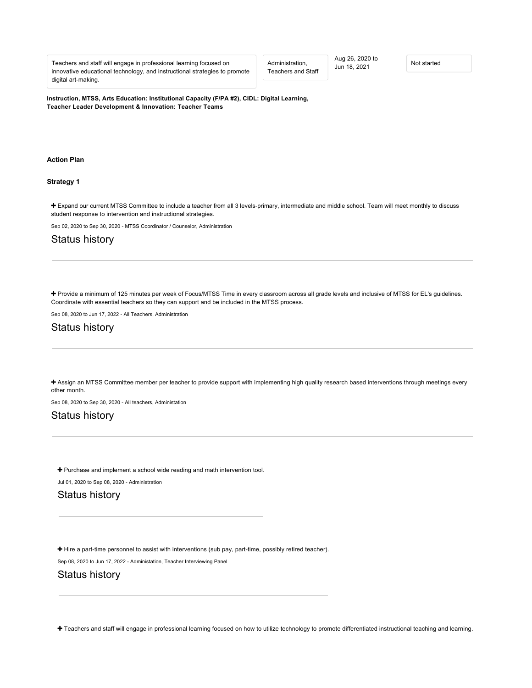Teachers and staff will engage in professional learning focused on innovative educational technology, and instructional strategies to promote digital art-making.

Administration, Teachers and Staff Aug 26, 2020 to Aug 26, 2020 to<br>Jun 18, 2021 Not started

**Instruction, MTSS, Arts Education: Institutional Capacity (F/PA #2), CIDL: Digital Learning, Teacher Leader Development & Innovation: Teacher Teams**

#### **[Action Plan](#page-15-0)**

#### <span id="page-15-0"></span>**[Strategy 1](#page-15-1)**

<span id="page-15-1"></span> [Expand our current MTSS Committee to include a teacher from all 3 levels-primary, intermediate and middle school. Team will meet monthly to discuss](https://ciwp.cps.edu/plan/pdfContent/3141?id=3141&actionPlanOnly=False&accessKey=hca339838bs46#) student response to intervention and instructional strategies.

Sep 02, 2020 to Sep 30, 2020 - MTSS Coordinator / Counselor, Administration

## Status history

 [Provide a minimum of 125 minutes per week of Focus/MTSS Time in every classroom across all grade levels and inclusive of MTSS for EL's guidelines.](https://ciwp.cps.edu/plan/pdfContent/3141?id=3141&actionPlanOnly=False&accessKey=hca339838bs46#) Coordinate with essential teachers so they can support and be included in the MTSS process.

Sep 08, 2020 to Jun 17, 2022 - All Teachers, Administration

## Status history

 [Assign an MTSS Committee member per teacher to provide support with implementing high quality research based interventions through meetings every](https://ciwp.cps.edu/plan/pdfContent/3141?id=3141&actionPlanOnly=False&accessKey=hca339838bs46#) other month.

Sep 08, 2020 to Sep 30, 2020 - All teachers, Administation

## Status history

+ [Purchase and implement a school wide reading and math intervention tool.](https://ciwp.cps.edu/plan/pdfContent/3141?id=3141&actionPlanOnly=False&accessKey=hca339838bs46#)

Jul 01, 2020 to Sep 08, 2020 - Administration

## Status history

[Hire a part-time personnel to assist with interventions \(sub pay, part-time, possibly retired teacher\).](https://ciwp.cps.edu/plan/pdfContent/3141?id=3141&actionPlanOnly=False&accessKey=hca339838bs46#)

Sep 08, 2020 to Jun 17, 2022 - Administation, Teacher Interviewing Panel

## Status history

[Teachers and staff will engage in professional learning focused on how to utilize technology to promote differentiated instructional teaching and learning.](https://ciwp.cps.edu/plan/pdfContent/3141?id=3141&actionPlanOnly=False&accessKey=hca339838bs46#)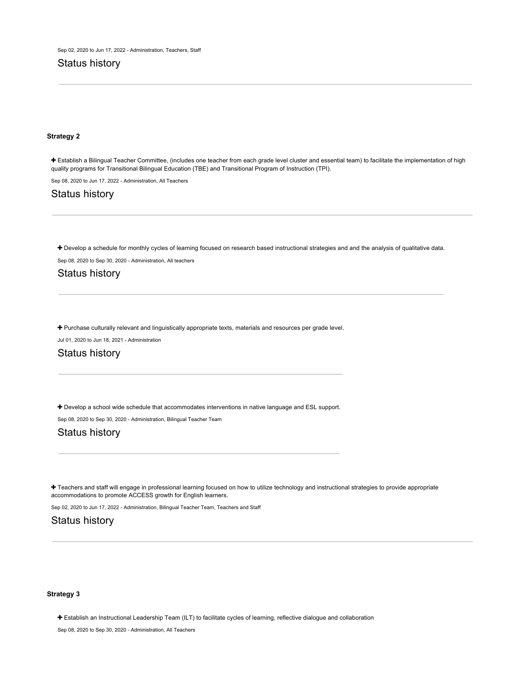## Status history

#### **[Strategy 2](#page-16-0)**

<span id="page-16-0"></span> [Establish a Bilingual Teacher Committee, \(includes one teacher from each grade level cluster and essential team\) to facilitate the implementation of high](https://ciwp.cps.edu/plan/pdfContent/3141?id=3141&actionPlanOnly=False&accessKey=hca339838bs46#) quality programs for Transitional Bilingual Education (TBE) and Transitional Program of Instruction (TPI).

Sep 08, 2020 to Jun 17, 2022 - Administration, All Teachers

## Status history

+ [Develop a schedule for monthly cycles of learning focused on research based instructional strategies and and the analysis of qualitative data.](https://ciwp.cps.edu/plan/pdfContent/3141?id=3141&actionPlanOnly=False&accessKey=hca339838bs46#)

Sep 08, 2020 to Sep 30, 2020 - Administration, All teachers

## Status history

[Purchase culturally relevant and linguistically appropriate texts, materials and resources per grade level.](https://ciwp.cps.edu/plan/pdfContent/3141?id=3141&actionPlanOnly=False&accessKey=hca339838bs46#)

Jul 01, 2020 to Jun 18, 2021 - Administration

## Status history

+ [Develop a school wide schedule that accommodates interventions in native language and ESL support.](https://ciwp.cps.edu/plan/pdfContent/3141?id=3141&actionPlanOnly=False&accessKey=hca339838bs46#)

Sep 08, 2020 to Sep 30, 2020 - Administration, Bilingual Teacher Team

## Status history

+ [Teachers and staff will engage in professional learning focused on how to utilize technology and instructional strategies to provide appropriate](https://ciwp.cps.edu/plan/pdfContent/3141?id=3141&actionPlanOnly=False&accessKey=hca339838bs46#) accommodations to promote ACCESS growth for English learners.

Sep 02, 2020 to Jun 17, 2022 - Administration, Bilingual Teacher Team, Teachers and Staff

## Status history

#### **[Strategy 3](#page-16-1)**

<span id="page-16-1"></span>[Establish an Instructional Leadership Team \(ILT\) to facilitate cycles of learning, reflective dialogue and collaboration](https://ciwp.cps.edu/plan/pdfContent/3141?id=3141&actionPlanOnly=False&accessKey=hca339838bs46#)

Sep 08, 2020 to Sep 30, 2020 - Administration, All Teachers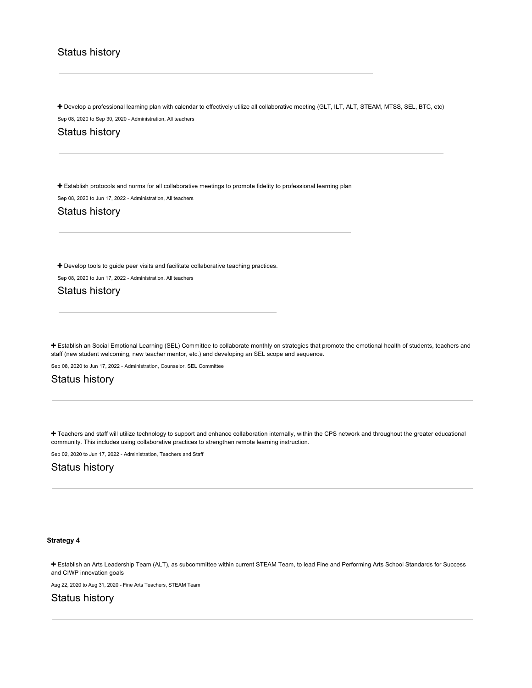## Status history

+ [Develop a professional learning plan with calendar to effectively utilize all collaborative meeting \(GLT, ILT, ALT, STEAM, MTSS, SEL, BTC, etc\)](https://ciwp.cps.edu/plan/pdfContent/3141?id=3141&actionPlanOnly=False&accessKey=hca339838bs46#) Sep 08, 2020 to Sep 30, 2020 - Administration, All teachers

Status history

[Establish protocols and norms for all collaborative meetings to promote fidelity to professional learning plan](https://ciwp.cps.edu/plan/pdfContent/3141?id=3141&actionPlanOnly=False&accessKey=hca339838bs46#)

Sep 08, 2020 to Jun 17, 2022 - Administration, All teachers

Status history

+ [Develop tools to guide peer visits and facilitate collaborative teaching practices.](https://ciwp.cps.edu/plan/pdfContent/3141?id=3141&actionPlanOnly=False&accessKey=hca339838bs46#)

Sep 08, 2020 to Jun 17, 2022 - Administration, All teachers

Status history

 [Establish an Social Emotional Learning \(SEL\) Committee to collaborate monthly on strategies that promote the emotional health of students, teachers and](https://ciwp.cps.edu/plan/pdfContent/3141?id=3141&actionPlanOnly=False&accessKey=hca339838bs46#) staff (new student welcoming, new teacher mentor, etc.) and developing an SEL scope and sequence.

Sep 08, 2020 to Jun 17, 2022 - Administration, Counselor, SEL Committee

## Status history

 [Teachers and staff will utilize technology to support and enhance collaboration internally, within the CPS network and throughout the greater educational](https://ciwp.cps.edu/plan/pdfContent/3141?id=3141&actionPlanOnly=False&accessKey=hca339838bs46#) community. This includes using collaborative practices to strengthen remote learning instruction.

Sep 02, 2020 to Jun 17, 2022 - Administration, Teachers and Staff

### Status history

#### **[Strategy 4](#page-17-0)**

<span id="page-17-0"></span> [Establish an Arts Leadership Team \(ALT\), as subcommittee within current STEAM Team, to lead Fine and Performing Arts School Standards for Success](https://ciwp.cps.edu/plan/pdfContent/3141?id=3141&actionPlanOnly=False&accessKey=hca339838bs46#) and CIWP innovation goals

Aug 22, 2020 to Aug 31, 2020 - Fine Arts Teachers, STEAM Team

Status history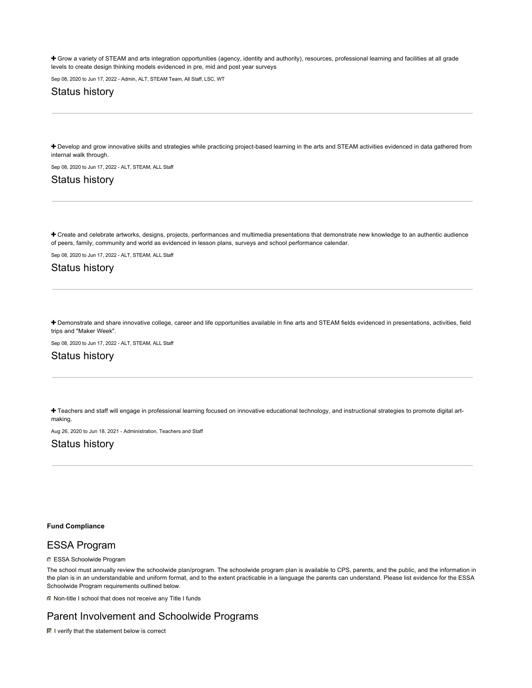+ [Grow a variety of STEAM and arts integration opportunities \(agency, identity and authority\), resources, professional learning and facilities at all grade](https://ciwp.cps.edu/plan/pdfContent/3141?id=3141&actionPlanOnly=False&accessKey=hca339838bs46#) levels to create design thinking models evidenced in pre, mid and post year surveys

Sep 08, 2020 to Jun 17, 2022 - Admin, ALT, STEAM Team, All Staff, LSC, WT

## Status history

+ [Develop and grow innovative skills and strategies while practicing project-based learning in the arts and STEAM activities evidenced in data gathered from](https://ciwp.cps.edu/plan/pdfContent/3141?id=3141&actionPlanOnly=False&accessKey=hca339838bs46#) internal walk through.

Sep 08, 2020 to Jun 17, 2022 - ALT, STEAM, ALL Staff

## Status history

 [Create and celebrate artworks, designs, projects, performances and multimedia presentations that demonstrate new knowledge to an authentic audience](https://ciwp.cps.edu/plan/pdfContent/3141?id=3141&actionPlanOnly=False&accessKey=hca339838bs46#) of peers, family, community and world as evidenced in lesson plans, surveys and school performance calendar.

Sep 08, 2020 to Jun 17, 2022 - ALT, STEAM, ALL Staff

## Status history

 [Demonstrate and share innovative college, career and life opportunities available in fine arts and STEAM fields evidenced in presentations, activities, field](https://ciwp.cps.edu/plan/pdfContent/3141?id=3141&actionPlanOnly=False&accessKey=hca339838bs46#) trips and "Maker Week".

Sep 08, 2020 to Jun 17, 2022 - ALT, STEAM, ALL Staff

## Status history

 [Teachers and staff will engage in professional learning focused on innovative educational technology, and instructional strategies to promote digital art](https://ciwp.cps.edu/plan/pdfContent/3141?id=3141&actionPlanOnly=False&accessKey=hca339838bs46#)making.

Aug 26, 2020 to Jun 18, 2021 - Administration, Teachers and Staff

## Status history

#### **[Fund Compliance](#page-18-0)**

## <span id="page-18-0"></span>ESSA Program

**C** ESSA Schoolwide Program

The school must annually review the schoolwide plan/program. The schoolwide program plan is available to CPS, parents, and the public, and the information in the plan is in an understandable and uniform format, and to the extent practicable in a language the parents can understand. Please list evidence for the ESSA Schoolwide Program requirements outlined below.

Non-title I school that does not receive any Title I funds

## Parent Involvement and Schoolwide Programs

 $\blacksquare$  I verify that the statement below is correct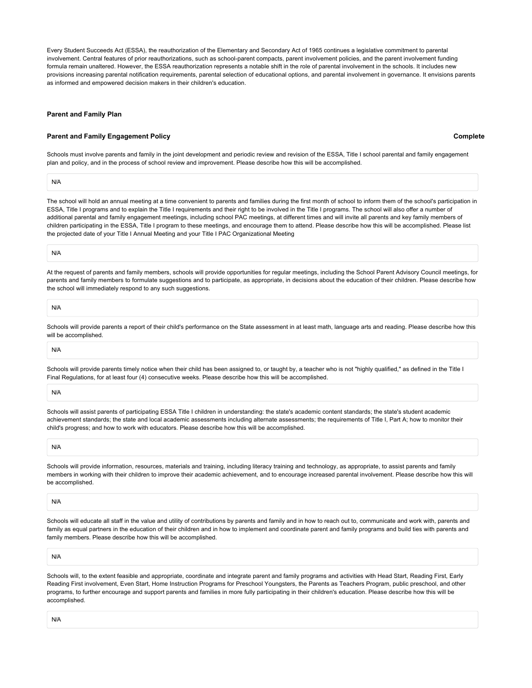Every Student Succeeds Act (ESSA), the reauthorization of the Elementary and Secondary Act of 1965 continues a legislative commitment to parental involvement. Central features of prior reauthorizations, such as school-parent compacts, parent involvement policies, and the parent involvement funding formula remain unaltered. However, the ESSA reauthorization represents a notable shift in the role of parental involvement in the schools. It includes new provisions increasing parental notification requirements, parental selection of educational options, and parental involvement in governance. It envisions parents as informed and empowered decision makers in their children's education.

#### **[Parent and Family Plan](#page-19-0)**

#### <span id="page-19-0"></span>**[Parent and Family Engagement Policy](#page-19-1)**

**Complete**

<span id="page-19-1"></span>Schools must involve parents and family in the joint development and periodic review and revision of the ESSA, Title I school parental and family engagement plan and policy, and in the process of school review and improvement. Please describe how this will be accomplished.

N/A

The school will hold an annual meeting at a time convenient to parents and families during the first month of school to inform them of the school's participation in ESSA, Title I programs and to explain the Title I requirements and their right to be involved in the Title I programs. The school will also offer a number of additional parental and family engagement meetings, including school PAC meetings, at different times and will invite all parents and key family members of children participating in the ESSA, Title I program to these meetings, and encourage them to attend. Please describe how this will be accomplished. Please list the projected date of your Title I Annual Meeting and your Title I PAC Organizational Meeting

N/A

At the request of parents and family members, schools will provide opportunities for regular meetings, including the School Parent Advisory Council meetings, for parents and family members to formulate suggestions and to participate, as appropriate, in decisions about the education of their children. Please describe how the school will immediately respond to any such suggestions.

N/A

Schools will provide parents a report of their child's performance on the State assessment in at least math, language arts and reading. Please describe how this will be accomplished.

N/A

Schools will provide parents timely notice when their child has been assigned to, or taught by, a teacher who is not "highly qualified," as defined in the Title I Final Regulations, for at least four (4) consecutive weeks. Please describe how this will be accomplished.

N/A

Schools will assist parents of participating ESSA Title I children in understanding: the state's academic content standards; the state's student academic achievement standards; the state and local academic assessments including alternate assessments; the requirements of Title I, Part A; how to monitor their child's progress; and how to work with educators. Please describe how this will be accomplished.

N/A

Schools will provide information, resources, materials and training, including literacy training and technology, as appropriate, to assist parents and family members in working with their children to improve their academic achievement, and to encourage increased parental involvement. Please describe how this will be accomplished.

N/A

Schools will educate all staff in the value and utility of contributions by parents and family and in how to reach out to, communicate and work with, parents and family as equal partners in the education of their children and in how to implement and coordinate parent and family programs and build ties with parents and family members. Please describe how this will be accomplished.

N/A

Schools will, to the extent feasible and appropriate, coordinate and integrate parent and family programs and activities with Head Start, Reading First, Early Reading First involvement, Even Start, Home Instruction Programs for Preschool Youngsters, the Parents as Teachers Program, public preschool, and other programs, to further encourage and support parents and families in more fully participating in their children's education. Please describe how this will be accomplished.

N/A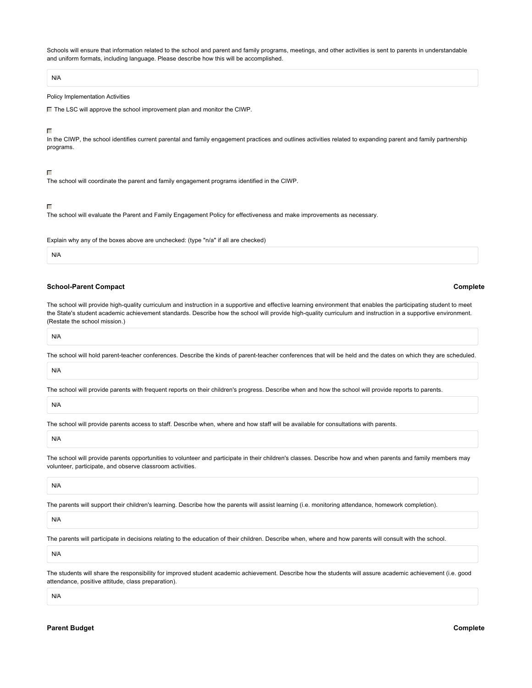Schools will ensure that information related to the school and parent and family programs, meetings, and other activities is sent to parents in understandable and uniform formats, including language. Please describe how this will be accomplished.

#### N/A

#### Policy Implementation Activities

■ The LSC will approve the school improvement plan and monitor the CIWP.

#### г

In the CIWP, the school identifies current parental and family engagement practices and outlines activities related to expanding parent and family partnership programs.

#### $\Box$

The school will coordinate the parent and family engagement programs identified in the CIWP.

#### Г

The school will evaluate the Parent and Family Engagement Policy for effectiveness and make improvements as necessary.

Explain why any of the boxes above are unchecked: (type "n/a" if all are checked)

#### N/A

#### **[School-Parent Compact](#page-20-0)**

<span id="page-20-0"></span>The school will provide high-quality curriculum and instruction in a supportive and effective learning environment that enables the participating student to meet the State's student academic achievement standards. Describe how the school will provide high-quality curriculum and instruction in a supportive environment. (Restate the school mission.)

# N/A

The school will hold parent-teacher conferences. Describe the kinds of parent-teacher conferences that will be held and the dates on which they are scheduled.

#### N/A

The school will provide parents with frequent reports on their children's progress. Describe when and how the school will provide reports to parents.

N/A

The school will provide parents access to staff. Describe when, where and how staff will be available for consultations with parents.

The school will provide parents opportunities to volunteer and participate in their children's classes. Describe how and when parents and family members may volunteer, participate, and observe classroom activities.

N/A

The parents will support their children's learning. Describe how the parents will assist learning (i.e. monitoring attendance, homework completion).

N/A

The parents will participate in decisions relating to the education of their children. Describe when, where and how parents will consult with the school.

N/A

The students will share the responsibility for improved student academic achievement. Describe how the students will assure academic achievement (i.e. good attendance, positive attitude, class preparation).

<span id="page-20-1"></span>N/A

**Complete**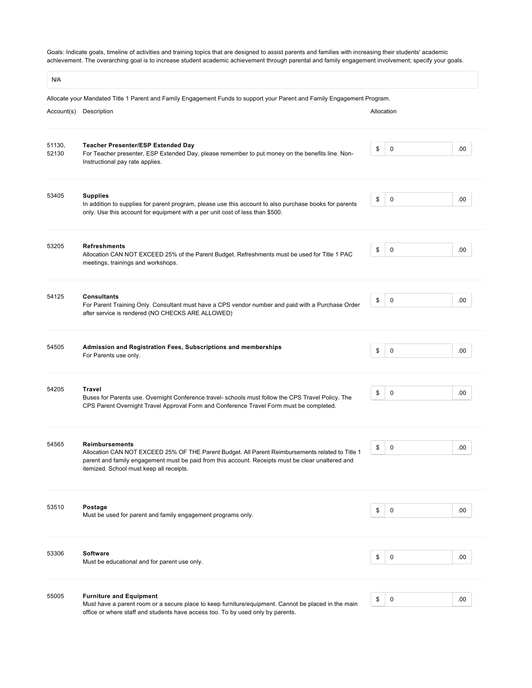Goals: Indicate goals, timeline of activities and training topics that are designed to assist parents and families with increasing their students' academic achievement. The overarching goal is to increase student academic achievement through parental and family engagement involvement; specify your goals.

 $\sqrt{N}$ 

| N/A             |                                                                                                                                                                                                                                                                            |            |   |     |
|-----------------|----------------------------------------------------------------------------------------------------------------------------------------------------------------------------------------------------------------------------------------------------------------------------|------------|---|-----|
|                 | Allocate your Mandated Title 1 Parent and Family Engagement Funds to support your Parent and Family Engagement Program.<br>Account(s) Description                                                                                                                          | Allocation |   |     |
| 51130,<br>52130 | <b>Teacher Presenter/ESP Extended Day</b><br>For Teacher presenter, ESP Extended Day, please remember to put money on the benefits line. Non-<br>Instructional pay rate applies.                                                                                           | \$         | 0 | .00 |
| 53405           | <b>Supplies</b><br>In addition to supplies for parent program, please use this account to also purchase books for parents<br>only. Use this account for equipment with a per unit cost of less than \$500.                                                                 | \$         | 0 | .00 |
| 53205           | <b>Refreshments</b><br>Allocation CAN NOT EXCEED 25% of the Parent Budget. Refreshments must be used for Title 1 PAC<br>meetings, trainings and workshops.                                                                                                                 | \$         | 0 | .00 |
| 54125           | <b>Consultants</b><br>For Parent Training Only. Consultant must have a CPS vendor number and paid with a Purchase Order<br>after service is rendered (NO CHECKS ARE ALLOWED)                                                                                               | \$         | 0 | .00 |
| 54505           | Admission and Registration Fees, Subscriptions and memberships<br>For Parents use only.                                                                                                                                                                                    | \$         | 0 | .00 |
| 54205           | <b>Travel</b><br>Buses for Parents use. Overnight Conference travel- schools must follow the CPS Travel Policy. The<br>CPS Parent Overnight Travel Approval Form and Conference Travel Form must be completed.                                                             | \$         | 0 | .00 |
| 54565           | <b>Reimbursements</b><br>Allocation CAN NOT EXCEED 25% OF THE Parent Budget. All Parent Reimbursements related to Title 1<br>parent and family engagement must be paid from this account. Receipts must be clear unaltered and<br>itemized. School must keep all receipts. | \$         | 0 | .00 |
| 53510           | Postage<br>Must be used for parent and family engagement programs only.                                                                                                                                                                                                    | \$         | 0 | .00 |
| 53306           | <b>Software</b><br>Must be educational and for parent use only.                                                                                                                                                                                                            | \$         | 0 | .00 |
| 55005           | <b>Furniture and Equipment</b><br>Must have a parent room or a secure place to keep furniture/equipment. Cannot be placed in the main<br>office or where staff and students have access too. To by used only by parents.                                                   | \$         | 0 | .00 |